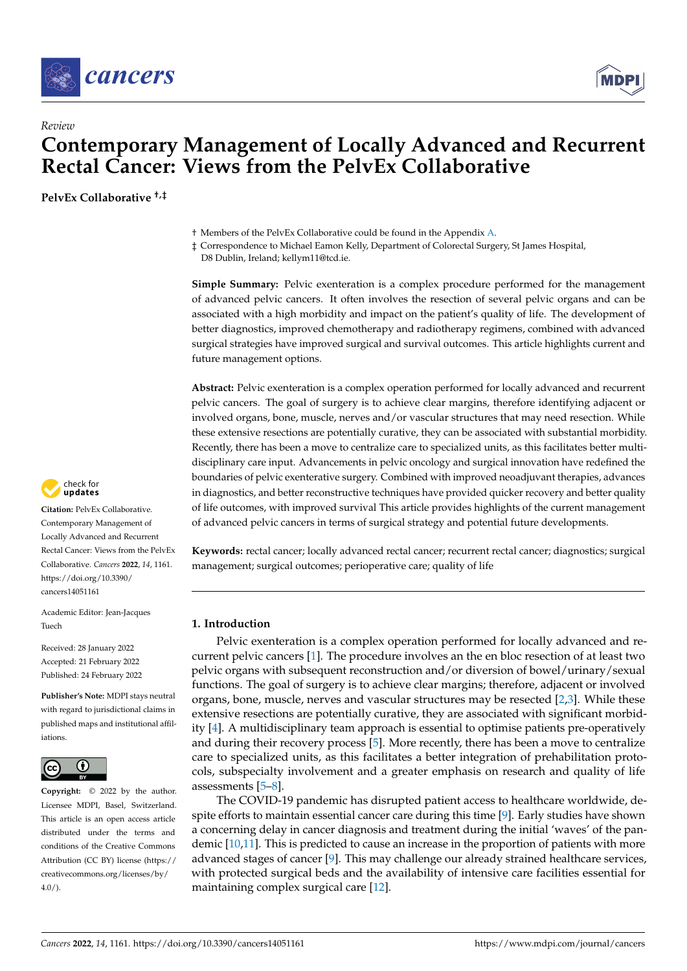



# *Review* **Contemporary Management of Locally Advanced and Recurrent Rectal Cancer: Views from the PelvEx Collaborative**

**PelvEx Collaborative †,‡**

† Members of the PelvEx Collaborative could be found in the Appendix [A.](#page-12-0)

‡ Correspondence to Michael Eamon Kelly, Department of Colorectal Surgery, St James Hospital,

D8 Dublin, Ireland; kellym11@tcd.ie.

**Simple Summary:** Pelvic exenteration is a complex procedure performed for the management of advanced pelvic cancers. It often involves the resection of several pelvic organs and can be associated with a high morbidity and impact on the patient's quality of life. The development of better diagnostics, improved chemotherapy and radiotherapy regimens, combined with advanced surgical strategies have improved surgical and survival outcomes. This article highlights current and future management options.

**Abstract:** Pelvic exenteration is a complex operation performed for locally advanced and recurrent pelvic cancers. The goal of surgery is to achieve clear margins, therefore identifying adjacent or involved organs, bone, muscle, nerves and/or vascular structures that may need resection. While these extensive resections are potentially curative, they can be associated with substantial morbidity. Recently, there has been a move to centralize care to specialized units, as this facilitates better multidisciplinary care input. Advancements in pelvic oncology and surgical innovation have redefined the boundaries of pelvic exenterative surgery. Combined with improved neoadjuvant therapies, advances in diagnostics, and better reconstructive techniques have provided quicker recovery and better quality of life outcomes, with improved survival This article provides highlights of the current management of advanced pelvic cancers in terms of surgical strategy and potential future developments.

**Keywords:** rectal cancer; locally advanced rectal cancer; recurrent rectal cancer; diagnostics; surgical management; surgical outcomes; perioperative care; quality of life

# **1. Introduction**

Pelvic exenteration is a complex operation performed for locally advanced and recurrent pelvic cancers [\[1\]](#page-12-1). The procedure involves an the en bloc resection of at least two pelvic organs with subsequent reconstruction and/or diversion of bowel/urinary/sexual functions. The goal of surgery is to achieve clear margins; therefore, adjacent or involved organs, bone, muscle, nerves and vascular structures may be resected [\[2](#page-12-2)[,3\]](#page-12-3). While these extensive resections are potentially curative, they are associated with significant morbidity [\[4\]](#page-13-0). A multidisciplinary team approach is essential to optimise patients pre-operatively and during their recovery process [\[5\]](#page-13-1). More recently, there has been a move to centralize care to specialized units, as this facilitates a better integration of prehabilitation protocols, subspecialty involvement and a greater emphasis on research and quality of life assessments [\[5–](#page-13-1)[8\]](#page-13-2).

The COVID-19 pandemic has disrupted patient access to healthcare worldwide, despite efforts to maintain essential cancer care during this time [\[9\]](#page-13-3). Early studies have shown a concerning delay in cancer diagnosis and treatment during the initial 'waves' of the pandemic [\[10](#page-13-4)[,11\]](#page-13-5). This is predicted to cause an increase in the proportion of patients with more advanced stages of cancer [\[9\]](#page-13-3). This may challenge our already strained healthcare services, with protected surgical beds and the availability of intensive care facilities essential for maintaining complex surgical care [\[12\]](#page-13-6).



**Citation:** PelvEx Collaborative. Contemporary Management of Locally Advanced and Recurrent Rectal Cancer: Views from the PelvEx Collaborative. *Cancers* **2022**, *14*, 1161. [https://doi.org/10.3390/](https://doi.org/10.3390/cancers14051161) [cancers14051161](https://doi.org/10.3390/cancers14051161)

Academic Editor: Jean-Jacques Tuech

Received: 28 January 2022 Accepted: 21 February 2022 Published: 24 February 2022

**Publisher's Note:** MDPI stays neutral with regard to jurisdictional claims in published maps and institutional affiliations.



**Copyright:** © 2022 by the author. Licensee MDPI, Basel, Switzerland. This article is an open access article distributed under the terms and conditions of the Creative Commons Attribution (CC BY) license [\(https://](https://creativecommons.org/licenses/by/4.0/) [creativecommons.org/licenses/by/](https://creativecommons.org/licenses/by/4.0/)  $4.0/$ ).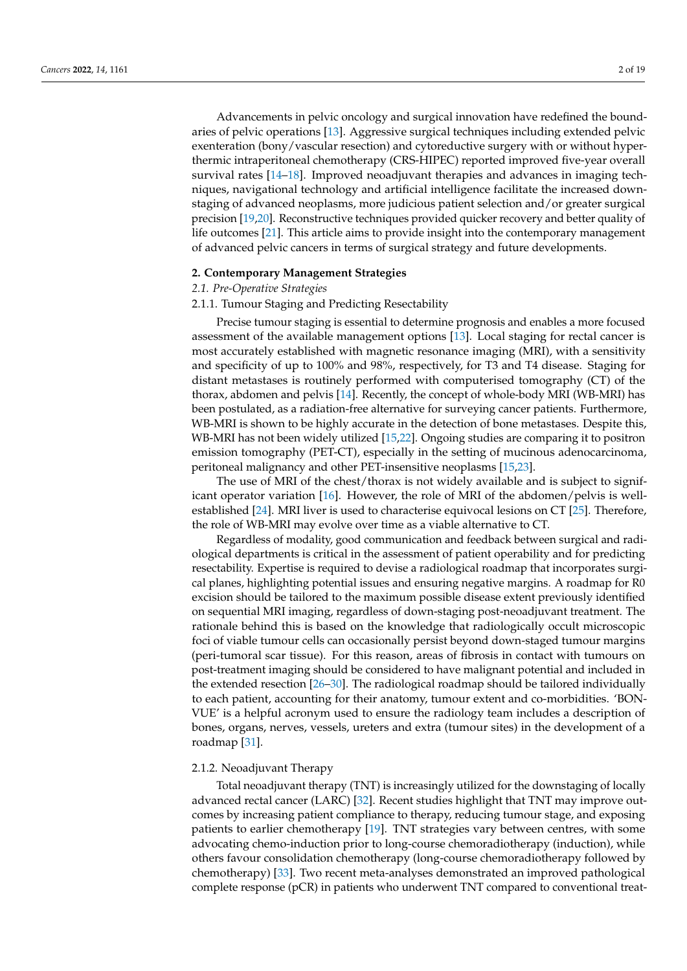Advancements in pelvic oncology and surgical innovation have redefined the boundaries of pelvic operations [\[13\]](#page-13-7). Aggressive surgical techniques including extended pelvic exenteration (bony/vascular resection) and cytoreductive surgery with or without hyperthermic intraperitoneal chemotherapy (CRS-HIPEC) reported improved five-year overall survival rates [\[14](#page-13-8)[–18\]](#page-13-9). Improved neoadjuvant therapies and advances in imaging techniques, navigational technology and artificial intelligence facilitate the increased downstaging of advanced neoplasms, more judicious patient selection and/or greater surgical precision [\[19,](#page-13-10)[20\]](#page-13-11). Reconstructive techniques provided quicker recovery and better quality of life outcomes [\[21\]](#page-13-12). This article aims to provide insight into the contemporary management of advanced pelvic cancers in terms of surgical strategy and future developments.

#### **2. Contemporary Management Strategies**

# *2.1. Pre-Operative Strategies*

#### 2.1.1. Tumour Staging and Predicting Resectability

Precise tumour staging is essential to determine prognosis and enables a more focused assessment of the available management options [\[13\]](#page-13-7). Local staging for rectal cancer is most accurately established with magnetic resonance imaging (MRI), with a sensitivity and specificity of up to 100% and 98%, respectively, for T3 and T4 disease. Staging for distant metastases is routinely performed with computerised tomography (CT) of the thorax, abdomen and pelvis [\[14\]](#page-13-8). Recently, the concept of whole-body MRI (WB-MRI) has been postulated, as a radiation-free alternative for surveying cancer patients. Furthermore, WB-MRI is shown to be highly accurate in the detection of bone metastases. Despite this, WB-MRI has not been widely utilized [\[15](#page-13-13)[,22\]](#page-13-14). Ongoing studies are comparing it to positron emission tomography (PET-CT), especially in the setting of mucinous adenocarcinoma, peritoneal malignancy and other PET-insensitive neoplasms [\[15,](#page-13-13)[23\]](#page-13-15).

The use of MRI of the chest/thorax is not widely available and is subject to significant operator variation [\[16\]](#page-13-16). However, the role of MRI of the abdomen/pelvis is wellestablished [\[24\]](#page-13-17). MRI liver is used to characterise equivocal lesions on CT [\[25\]](#page-13-18). Therefore, the role of WB-MRI may evolve over time as a viable alternative to CT.

Regardless of modality, good communication and feedback between surgical and radiological departments is critical in the assessment of patient operability and for predicting resectability. Expertise is required to devise a radiological roadmap that incorporates surgical planes, highlighting potential issues and ensuring negative margins. A roadmap for R0 excision should be tailored to the maximum possible disease extent previously identified on sequential MRI imaging, regardless of down-staging post-neoadjuvant treatment. The rationale behind this is based on the knowledge that radiologically occult microscopic foci of viable tumour cells can occasionally persist beyond down-staged tumour margins (peri-tumoral scar tissue). For this reason, areas of fibrosis in contact with tumours on post-treatment imaging should be considered to have malignant potential and included in the extended resection [\[26](#page-13-19)[–30\]](#page-14-0). The radiological roadmap should be tailored individually to each patient, accounting for their anatomy, tumour extent and co-morbidities. 'BON-VUE' is a helpful acronym used to ensure the radiology team includes a description of bones, organs, nerves, vessels, ureters and extra (tumour sites) in the development of a roadmap [\[31\]](#page-14-1).

## 2.1.2. Neoadjuvant Therapy

Total neoadjuvant therapy (TNT) is increasingly utilized for the downstaging of locally advanced rectal cancer (LARC) [\[32\]](#page-14-2). Recent studies highlight that TNT may improve outcomes by increasing patient compliance to therapy, reducing tumour stage, and exposing patients to earlier chemotherapy [\[19\]](#page-13-10). TNT strategies vary between centres, with some advocating chemo-induction prior to long-course chemoradiotherapy (induction), while others favour consolidation chemotherapy (long-course chemoradiotherapy followed by chemotherapy) [\[33\]](#page-14-3). Two recent meta-analyses demonstrated an improved pathological complete response (pCR) in patients who underwent TNT compared to conventional treat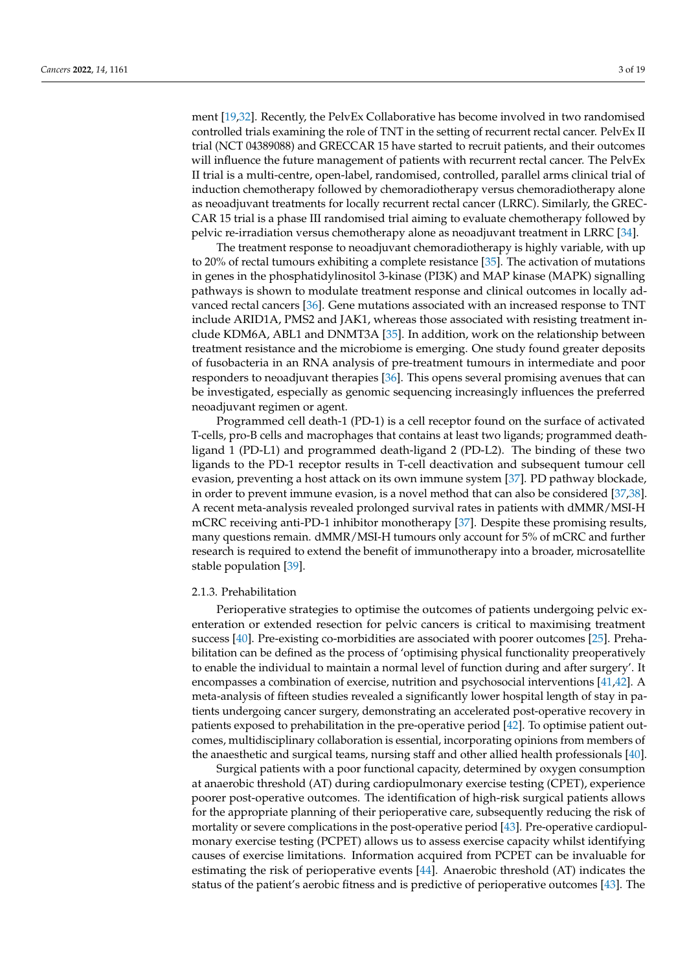ment [\[19](#page-13-10)[,32\]](#page-14-2). Recently, the PelvEx Collaborative has become involved in two randomised controlled trials examining the role of TNT in the setting of recurrent rectal cancer. PelvEx II trial (NCT 04389088) and GRECCAR 15 have started to recruit patients, and their outcomes will influence the future management of patients with recurrent rectal cancer. The PelvEx II trial is a multi-centre, open-label, randomised, controlled, parallel arms clinical trial of induction chemotherapy followed by chemoradiotherapy versus chemoradiotherapy alone as neoadjuvant treatments for locally recurrent rectal cancer (LRRC). Similarly, the GREC-CAR 15 trial is a phase III randomised trial aiming to evaluate chemotherapy followed by pelvic re-irradiation versus chemotherapy alone as neoadjuvant treatment in LRRC [\[34\]](#page-14-4).

The treatment response to neoadjuvant chemoradiotherapy is highly variable, with up to 20% of rectal tumours exhibiting a complete resistance [\[35\]](#page-14-5). The activation of mutations in genes in the phosphatidylinositol 3-kinase (PI3K) and MAP kinase (MAPK) signalling pathways is shown to modulate treatment response and clinical outcomes in locally advanced rectal cancers [\[36\]](#page-14-6). Gene mutations associated with an increased response to TNT include ARID1A, PMS2 and JAK1, whereas those associated with resisting treatment include KDM6A, ABL1 and DNMT3A [\[35\]](#page-14-5). In addition, work on the relationship between treatment resistance and the microbiome is emerging. One study found greater deposits of fusobacteria in an RNA analysis of pre-treatment tumours in intermediate and poor responders to neoadjuvant therapies [\[36\]](#page-14-6). This opens several promising avenues that can be investigated, especially as genomic sequencing increasingly influences the preferred neoadjuvant regimen or agent.

Programmed cell death-1 (PD-1) is a cell receptor found on the surface of activated T-cells, pro-B cells and macrophages that contains at least two ligands; programmed deathligand 1 (PD-L1) and programmed death-ligand 2 (PD-L2). The binding of these two ligands to the PD-1 receptor results in T-cell deactivation and subsequent tumour cell evasion, preventing a host attack on its own immune system [\[37\]](#page-14-7). PD pathway blockade, in order to prevent immune evasion, is a novel method that can also be considered [\[37](#page-14-7)[,38\]](#page-14-8). A recent meta-analysis revealed prolonged survival rates in patients with dMMR/MSI-H mCRC receiving anti-PD-1 inhibitor monotherapy [\[37\]](#page-14-7). Despite these promising results, many questions remain. dMMR/MSI-H tumours only account for 5% of mCRC and further research is required to extend the benefit of immunotherapy into a broader, microsatellite stable population [\[39\]](#page-14-9).

## 2.1.3. Prehabilitation

Perioperative strategies to optimise the outcomes of patients undergoing pelvic exenteration or extended resection for pelvic cancers is critical to maximising treatment success [\[40\]](#page-14-10). Pre-existing co-morbidities are associated with poorer outcomes [\[25\]](#page-13-18). Prehabilitation can be defined as the process of 'optimising physical functionality preoperatively to enable the individual to maintain a normal level of function during and after surgery'. It encompasses a combination of exercise, nutrition and psychosocial interventions [\[41](#page-14-11)[,42\]](#page-14-12). A meta-analysis of fifteen studies revealed a significantly lower hospital length of stay in patients undergoing cancer surgery, demonstrating an accelerated post-operative recovery in patients exposed to prehabilitation in the pre-operative period [\[42\]](#page-14-12). To optimise patient outcomes, multidisciplinary collaboration is essential, incorporating opinions from members of the anaesthetic and surgical teams, nursing staff and other allied health professionals [\[40\]](#page-14-10).

Surgical patients with a poor functional capacity, determined by oxygen consumption at anaerobic threshold (AT) during cardiopulmonary exercise testing (CPET), experience poorer post-operative outcomes. The identification of high-risk surgical patients allows for the appropriate planning of their perioperative care, subsequently reducing the risk of mortality or severe complications in the post-operative period [\[43\]](#page-14-13). Pre-operative cardiopulmonary exercise testing (PCPET) allows us to assess exercise capacity whilst identifying causes of exercise limitations. Information acquired from PCPET can be invaluable for estimating the risk of perioperative events [\[44\]](#page-14-14). Anaerobic threshold (AT) indicates the status of the patient's aerobic fitness and is predictive of perioperative outcomes [\[43\]](#page-14-13). The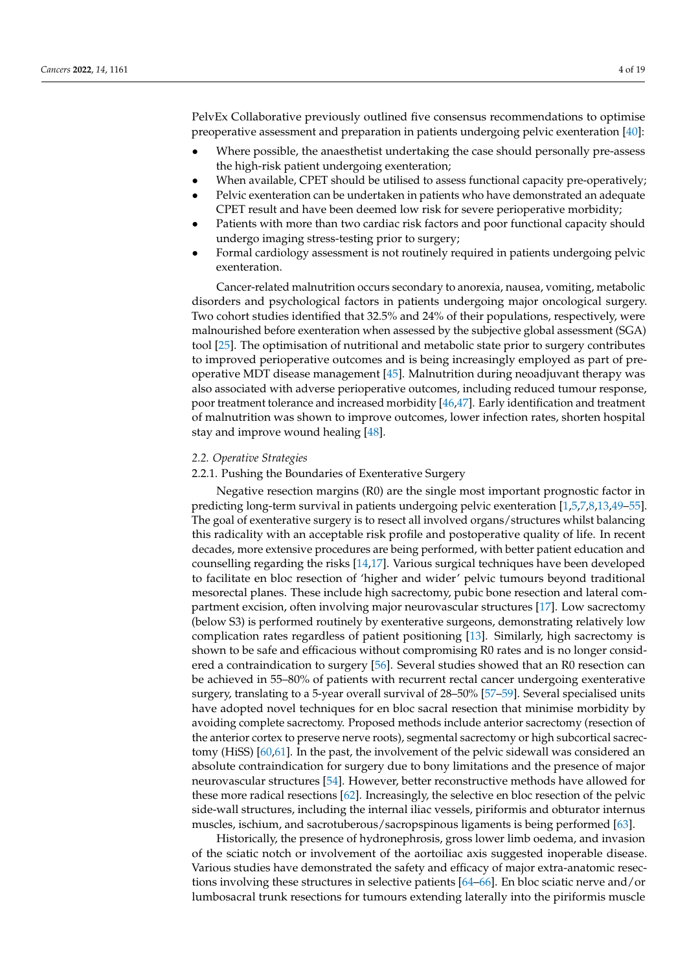PelvEx Collaborative previously outlined five consensus recommendations to optimise preoperative assessment and preparation in patients undergoing pelvic exenteration [\[40\]](#page-14-10):

- Where possible, the anaesthetist undertaking the case should personally pre-assess the high-risk patient undergoing exenteration;
- When available, CPET should be utilised to assess functional capacity pre-operatively;
- Pelvic exenteration can be undertaken in patients who have demonstrated an adequate CPET result and have been deemed low risk for severe perioperative morbidity;
- Patients with more than two cardiac risk factors and poor functional capacity should undergo imaging stress-testing prior to surgery;
- Formal cardiology assessment is not routinely required in patients undergoing pelvic exenteration.

Cancer-related malnutrition occurs secondary to anorexia, nausea, vomiting, metabolic disorders and psychological factors in patients undergoing major oncological surgery. Two cohort studies identified that 32.5% and 24% of their populations, respectively, were malnourished before exenteration when assessed by the subjective global assessment (SGA) tool [\[25\]](#page-13-18). The optimisation of nutritional and metabolic state prior to surgery contributes to improved perioperative outcomes and is being increasingly employed as part of preoperative MDT disease management [\[45\]](#page-14-15). Malnutrition during neoadjuvant therapy was also associated with adverse perioperative outcomes, including reduced tumour response, poor treatment tolerance and increased morbidity [\[46,](#page-14-16)[47\]](#page-14-17). Early identification and treatment of malnutrition was shown to improve outcomes, lower infection rates, shorten hospital stay and improve wound healing [\[48\]](#page-14-18).

# *2.2. Operative Strategies*

#### 2.2.1. Pushing the Boundaries of Exenterative Surgery

Negative resection margins (R0) are the single most important prognostic factor in predicting long-term survival in patients undergoing pelvic exenteration [\[1](#page-12-1)[,5](#page-13-1)[,7](#page-13-20)[,8](#page-13-2)[,13](#page-13-7)[,49](#page-14-19)[–55\]](#page-15-0). The goal of exenterative surgery is to resect all involved organs/structures whilst balancing this radicality with an acceptable risk profile and postoperative quality of life. In recent decades, more extensive procedures are being performed, with better patient education and counselling regarding the risks [\[14,](#page-13-8)[17\]](#page-13-21). Various surgical techniques have been developed to facilitate en bloc resection of 'higher and wider' pelvic tumours beyond traditional mesorectal planes. These include high sacrectomy, pubic bone resection and lateral compartment excision, often involving major neurovascular structures [\[17\]](#page-13-21). Low sacrectomy (below S3) is performed routinely by exenterative surgeons, demonstrating relatively low complication rates regardless of patient positioning [\[13\]](#page-13-7). Similarly, high sacrectomy is shown to be safe and efficacious without compromising R0 rates and is no longer considered a contraindication to surgery [\[56\]](#page-15-1). Several studies showed that an R0 resection can be achieved in 55–80% of patients with recurrent rectal cancer undergoing exenterative surgery, translating to a 5-year overall survival of 28–50% [\[57](#page-15-2)[–59\]](#page-15-3). Several specialised units have adopted novel techniques for en bloc sacral resection that minimise morbidity by avoiding complete sacrectomy. Proposed methods include anterior sacrectomy (resection of the anterior cortex to preserve nerve roots), segmental sacrectomy or high subcortical sacrectomy (HiSS) [\[60,](#page-15-4)[61\]](#page-15-5). In the past, the involvement of the pelvic sidewall was considered an absolute contraindication for surgery due to bony limitations and the presence of major neurovascular structures [\[54\]](#page-14-20). However, better reconstructive methods have allowed for these more radical resections [\[62\]](#page-15-6). Increasingly, the selective en bloc resection of the pelvic side-wall structures, including the internal iliac vessels, piriformis and obturator internus muscles, ischium, and sacrotuberous/sacropspinous ligaments is being performed [\[63\]](#page-15-7).

Historically, the presence of hydronephrosis, gross lower limb oedema, and invasion of the sciatic notch or involvement of the aortoiliac axis suggested inoperable disease. Various studies have demonstrated the safety and efficacy of major extra-anatomic resections involving these structures in selective patients [\[64–](#page-15-8)[66\]](#page-15-9). En bloc sciatic nerve and/or lumbosacral trunk resections for tumours extending laterally into the piriformis muscle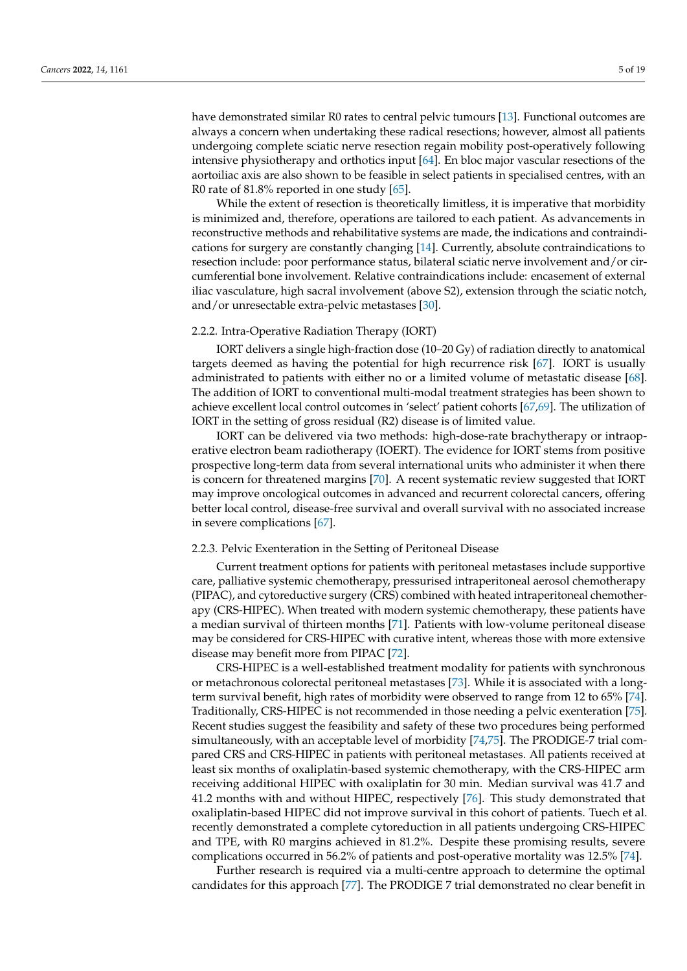have demonstrated similar R0 rates to central pelvic tumours [\[13\]](#page-13-7). Functional outcomes are always a concern when undertaking these radical resections; however, almost all patients undergoing complete sciatic nerve resection regain mobility post-operatively following intensive physiotherapy and orthotics input [\[64\]](#page-15-8). En bloc major vascular resections of the aortoiliac axis are also shown to be feasible in select patients in specialised centres, with an R0 rate of 81.8% reported in one study  $[65]$ .

While the extent of resection is theoretically limitless, it is imperative that morbidity is minimized and, therefore, operations are tailored to each patient. As advancements in reconstructive methods and rehabilitative systems are made, the indications and contraindications for surgery are constantly changing [\[14\]](#page-13-8). Currently, absolute contraindications to resection include: poor performance status, bilateral sciatic nerve involvement and/or circumferential bone involvement. Relative contraindications include: encasement of external iliac vasculature, high sacral involvement (above S2), extension through the sciatic notch, and/or unresectable extra-pelvic metastases [\[30\]](#page-14-0).

#### 2.2.2. Intra-Operative Radiation Therapy (IORT)

IORT delivers a single high-fraction dose (10–20 Gy) of radiation directly to anatomical targets deemed as having the potential for high recurrence risk [\[67\]](#page-15-11). IORT is usually administrated to patients with either no or a limited volume of metastatic disease [\[68\]](#page-15-12). The addition of IORT to conventional multi-modal treatment strategies has been shown to achieve excellent local control outcomes in 'select' patient cohorts [\[67](#page-15-11)[,69\]](#page-15-13). The utilization of IORT in the setting of gross residual (R2) disease is of limited value.

IORT can be delivered via two methods: high-dose-rate brachytherapy or intraoperative electron beam radiotherapy (IOERT). The evidence for IORT stems from positive prospective long-term data from several international units who administer it when there is concern for threatened margins [\[70\]](#page-15-14). A recent systematic review suggested that IORT may improve oncological outcomes in advanced and recurrent colorectal cancers, offering better local control, disease-free survival and overall survival with no associated increase in severe complications [\[67\]](#page-15-11).

#### 2.2.3. Pelvic Exenteration in the Setting of Peritoneal Disease

Current treatment options for patients with peritoneal metastases include supportive care, palliative systemic chemotherapy, pressurised intraperitoneal aerosol chemotherapy (PIPAC), and cytoreductive surgery (CRS) combined with heated intraperitoneal chemotherapy (CRS-HIPEC). When treated with modern systemic chemotherapy, these patients have a median survival of thirteen months [\[71\]](#page-15-15). Patients with low-volume peritoneal disease may be considered for CRS-HIPEC with curative intent, whereas those with more extensive disease may benefit more from PIPAC [\[72\]](#page-15-16).

CRS-HIPEC is a well-established treatment modality for patients with synchronous or metachronous colorectal peritoneal metastases [\[73\]](#page-15-17). While it is associated with a longterm survival benefit, high rates of morbidity were observed to range from 12 to 65% [\[74\]](#page-15-18). Traditionally, CRS-HIPEC is not recommended in those needing a pelvic exenteration [\[75\]](#page-15-19). Recent studies suggest the feasibility and safety of these two procedures being performed simultaneously, with an acceptable level of morbidity [\[74](#page-15-18)[,75\]](#page-15-19). The PRODIGE-7 trial compared CRS and CRS-HIPEC in patients with peritoneal metastases. All patients received at least six months of oxaliplatin-based systemic chemotherapy, with the CRS-HIPEC arm receiving additional HIPEC with oxaliplatin for 30 min. Median survival was 41.7 and 41.2 months with and without HIPEC, respectively [\[76\]](#page-15-20). This study demonstrated that oxaliplatin-based HIPEC did not improve survival in this cohort of patients. Tuech et al. recently demonstrated a complete cytoreduction in all patients undergoing CRS-HIPEC and TPE, with R0 margins achieved in 81.2%. Despite these promising results, severe complications occurred in 56.2% of patients and post-operative mortality was 12.5% [\[74\]](#page-15-18).

Further research is required via a multi-centre approach to determine the optimal candidates for this approach [\[77\]](#page-15-21). The PRODIGE 7 trial demonstrated no clear benefit in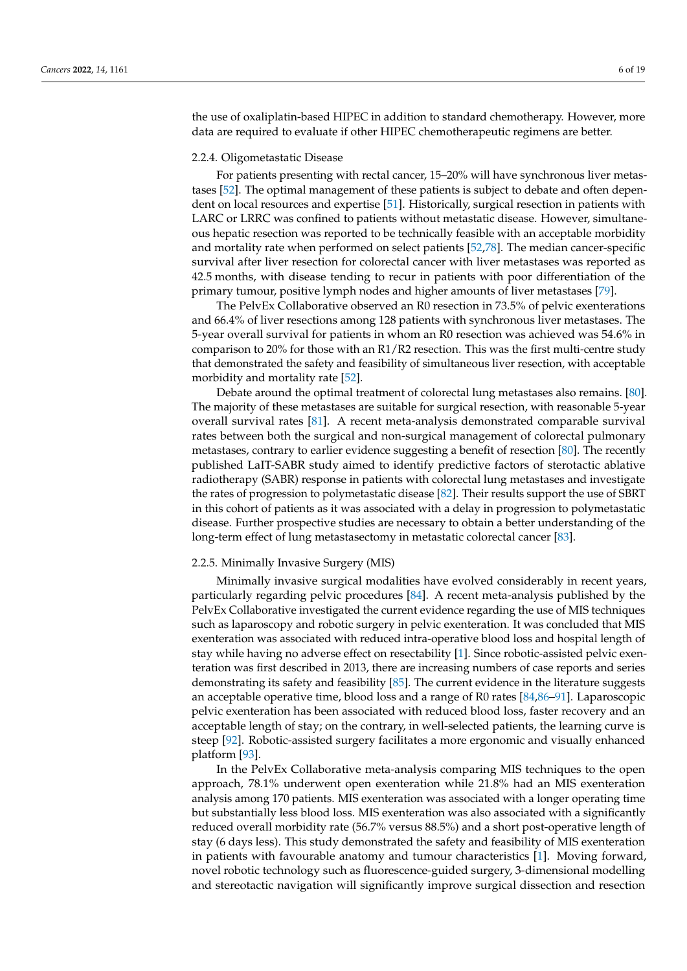the use of oxaliplatin-based HIPEC in addition to standard chemotherapy. However, more data are required to evaluate if other HIPEC chemotherapeutic regimens are better.

#### 2.2.4. Oligometastatic Disease

For patients presenting with rectal cancer, 15–20% will have synchronous liver metastases [\[52\]](#page-14-21). The optimal management of these patients is subject to debate and often dependent on local resources and expertise [\[51\]](#page-14-22). Historically, surgical resection in patients with LARC or LRRC was confined to patients without metastatic disease. However, simultaneous hepatic resection was reported to be technically feasible with an acceptable morbidity and mortality rate when performed on select patients [\[52,](#page-14-21)[78\]](#page-16-0). The median cancer-specific survival after liver resection for colorectal cancer with liver metastases was reported as 42.5 months, with disease tending to recur in patients with poor differentiation of the primary tumour, positive lymph nodes and higher amounts of liver metastases [\[79\]](#page-16-1).

The PelvEx Collaborative observed an R0 resection in 73.5% of pelvic exenterations and 66.4% of liver resections among 128 patients with synchronous liver metastases. The 5-year overall survival for patients in whom an R0 resection was achieved was 54.6% in comparison to 20% for those with an R1/R2 resection. This was the first multi-centre study that demonstrated the safety and feasibility of simultaneous liver resection, with acceptable morbidity and mortality rate [\[52\]](#page-14-21).

Debate around the optimal treatment of colorectal lung metastases also remains. [\[80\]](#page-16-2). The majority of these metastases are suitable for surgical resection, with reasonable 5-year overall survival rates [\[81\]](#page-16-3). A recent meta-analysis demonstrated comparable survival rates between both the surgical and non-surgical management of colorectal pulmonary metastases, contrary to earlier evidence suggesting a benefit of resection [\[80\]](#page-16-2). The recently published LaIT-SABR study aimed to identify predictive factors of sterotactic ablative radiotherapy (SABR) response in patients with colorectal lung metastases and investigate the rates of progression to polymetastatic disease [\[82\]](#page-16-4). Their results support the use of SBRT in this cohort of patients as it was associated with a delay in progression to polymetastatic disease. Further prospective studies are necessary to obtain a better understanding of the long-term effect of lung metastasectomy in metastatic colorectal cancer [\[83\]](#page-16-5).

## 2.2.5. Minimally Invasive Surgery (MIS)

Minimally invasive surgical modalities have evolved considerably in recent years, particularly regarding pelvic procedures [\[84\]](#page-16-6). A recent meta-analysis published by the PelvEx Collaborative investigated the current evidence regarding the use of MIS techniques such as laparoscopy and robotic surgery in pelvic exenteration. It was concluded that MIS exenteration was associated with reduced intra-operative blood loss and hospital length of stay while having no adverse effect on resectability [\[1\]](#page-12-1). Since robotic-assisted pelvic exenteration was first described in 2013, there are increasing numbers of case reports and series demonstrating its safety and feasibility [\[85\]](#page-16-7). The current evidence in the literature suggests an acceptable operative time, blood loss and a range of R0 rates [\[84,](#page-16-6)[86](#page-16-8)[–91\]](#page-16-9). Laparoscopic pelvic exenteration has been associated with reduced blood loss, faster recovery and an acceptable length of stay; on the contrary, in well-selected patients, the learning curve is steep [\[92\]](#page-16-10). Robotic-assisted surgery facilitates a more ergonomic and visually enhanced platform [\[93\]](#page-16-11).

In the PelvEx Collaborative meta-analysis comparing MIS techniques to the open approach, 78.1% underwent open exenteration while 21.8% had an MIS exenteration analysis among 170 patients. MIS exenteration was associated with a longer operating time but substantially less blood loss. MIS exenteration was also associated with a significantly reduced overall morbidity rate (56.7% versus 88.5%) and a short post-operative length of stay (6 days less). This study demonstrated the safety and feasibility of MIS exenteration in patients with favourable anatomy and tumour characteristics [\[1\]](#page-12-1). Moving forward, novel robotic technology such as fluorescence-guided surgery, 3-dimensional modelling and stereotactic navigation will significantly improve surgical dissection and resection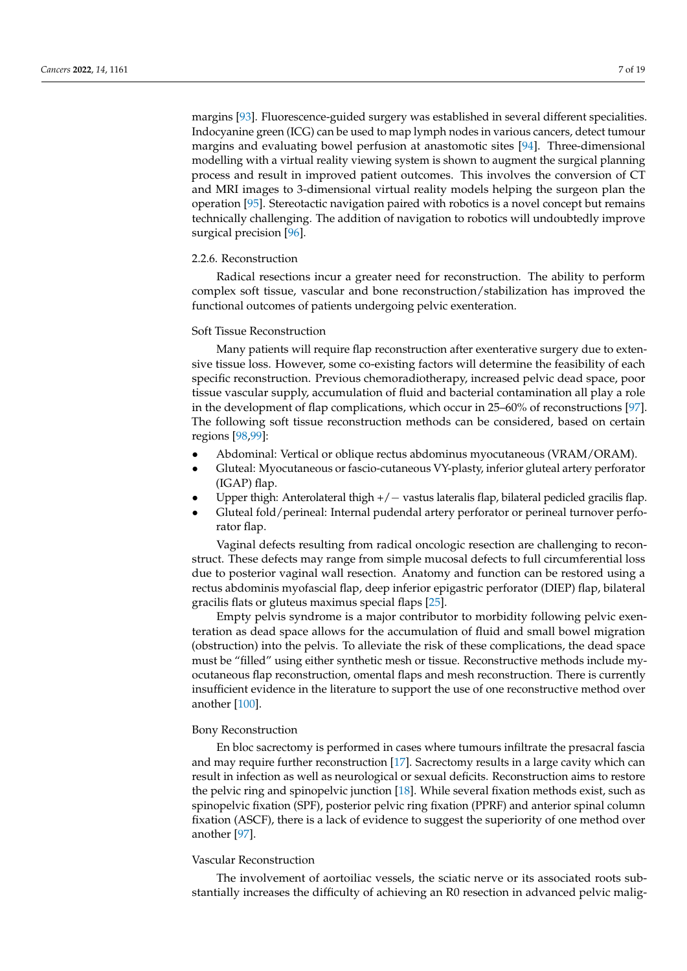margins [\[93\]](#page-16-11). Fluorescence-guided surgery was established in several different specialities. Indocyanine green (ICG) can be used to map lymph nodes in various cancers, detect tumour margins and evaluating bowel perfusion at anastomotic sites [\[94\]](#page-16-12). Three-dimensional modelling with a virtual reality viewing system is shown to augment the surgical planning process and result in improved patient outcomes. This involves the conversion of CT and MRI images to 3-dimensional virtual reality models helping the surgeon plan the operation [\[95\]](#page-16-13). Stereotactic navigation paired with robotics is a novel concept but remains technically challenging. The addition of navigation to robotics will undoubtedly improve surgical precision [\[96\]](#page-16-14).

# 2.2.6. Reconstruction

Radical resections incur a greater need for reconstruction. The ability to perform complex soft tissue, vascular and bone reconstruction/stabilization has improved the functional outcomes of patients undergoing pelvic exenteration.

## Soft Tissue Reconstruction

Many patients will require flap reconstruction after exenterative surgery due to extensive tissue loss. However, some co-existing factors will determine the feasibility of each specific reconstruction. Previous chemoradiotherapy, increased pelvic dead space, poor tissue vascular supply, accumulation of fluid and bacterial contamination all play a role in the development of flap complications, which occur in 25–60% of reconstructions [\[97\]](#page-16-15). The following soft tissue reconstruction methods can be considered, based on certain regions [\[98,](#page-16-16)[99\]](#page-16-17):

- Abdominal: Vertical or oblique rectus abdominus myocutaneous (VRAM/ORAM).
- Gluteal: Myocutaneous or fascio-cutaneous VY-plasty, inferior gluteal artery perforator (IGAP) flap.
- Upper thigh: Anterolateral thigh +/− vastus lateralis flap, bilateral pedicled gracilis flap.
- Gluteal fold/perineal: Internal pudendal artery perforator or perineal turnover perforator flap.

Vaginal defects resulting from radical oncologic resection are challenging to reconstruct. These defects may range from simple mucosal defects to full circumferential loss due to posterior vaginal wall resection. Anatomy and function can be restored using a rectus abdominis myofascial flap, deep inferior epigastric perforator (DIEP) flap, bilateral gracilis flats or gluteus maximus special flaps [\[25\]](#page-13-18).

Empty pelvis syndrome is a major contributor to morbidity following pelvic exenteration as dead space allows for the accumulation of fluid and small bowel migration (obstruction) into the pelvis. To alleviate the risk of these complications, the dead space must be "filled" using either synthetic mesh or tissue. Reconstructive methods include myocutaneous flap reconstruction, omental flaps and mesh reconstruction. There is currently insufficient evidence in the literature to support the use of one reconstructive method over another [\[100\]](#page-16-18).

# Bony Reconstruction

En bloc sacrectomy is performed in cases where tumours infiltrate the presacral fascia and may require further reconstruction [\[17\]](#page-13-21). Sacrectomy results in a large cavity which can result in infection as well as neurological or sexual deficits. Reconstruction aims to restore the pelvic ring and spinopelvic junction [\[18\]](#page-13-9). While several fixation methods exist, such as spinopelvic fixation (SPF), posterior pelvic ring fixation (PPRF) and anterior spinal column fixation (ASCF), there is a lack of evidence to suggest the superiority of one method over another [\[97\]](#page-16-15).

## Vascular Reconstruction

The involvement of aortoiliac vessels, the sciatic nerve or its associated roots substantially increases the difficulty of achieving an R0 resection in advanced pelvic malig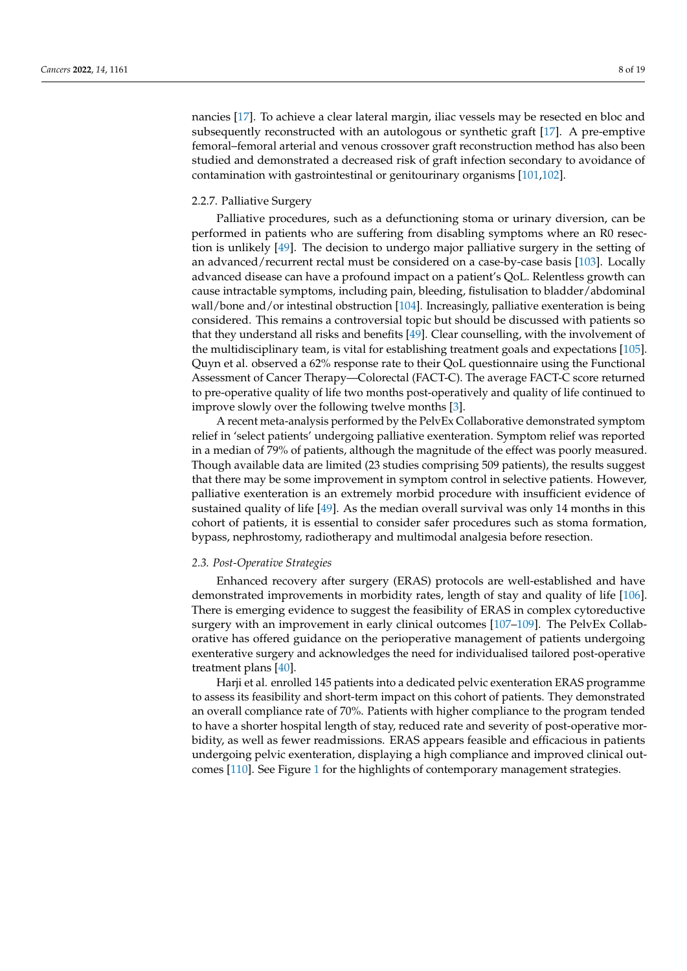nancies [\[17\]](#page-13-21). To achieve a clear lateral margin, iliac vessels may be resected en bloc and subsequently reconstructed with an autologous or synthetic graft [\[17\]](#page-13-21). A pre-emptive femoral–femoral arterial and venous crossover graft reconstruction method has also been studied and demonstrated a decreased risk of graft infection secondary to avoidance of contamination with gastrointestinal or genitourinary organisms [\[101](#page-16-19)[,102\]](#page-16-20).

# 2.2.7. Palliative Surgery

Palliative procedures, such as a defunctioning stoma or urinary diversion, can be performed in patients who are suffering from disabling symptoms where an R0 resection is unlikely [\[49\]](#page-14-19). The decision to undergo major palliative surgery in the setting of an advanced/recurrent rectal must be considered on a case-by-case basis [\[103\]](#page-16-21). Locally advanced disease can have a profound impact on a patient's QoL. Relentless growth can cause intractable symptoms, including pain, bleeding, fistulisation to bladder/abdominal wall/bone and/or intestinal obstruction [\[104\]](#page-17-0). Increasingly, palliative exenteration is being considered. This remains a controversial topic but should be discussed with patients so that they understand all risks and benefits [\[49\]](#page-14-19). Clear counselling, with the involvement of the multidisciplinary team, is vital for establishing treatment goals and expectations [\[105\]](#page-17-1). Quyn et al. observed a 62% response rate to their QoL questionnaire using the Functional Assessment of Cancer Therapy—Colorectal (FACT-C). The average FACT-C score returned to pre-operative quality of life two months post-operatively and quality of life continued to improve slowly over the following twelve months [\[3\]](#page-12-3).

A recent meta-analysis performed by the PelvEx Collaborative demonstrated symptom relief in 'select patients' undergoing palliative exenteration. Symptom relief was reported in a median of 79% of patients, although the magnitude of the effect was poorly measured. Though available data are limited (23 studies comprising 509 patients), the results suggest that there may be some improvement in symptom control in selective patients. However, palliative exenteration is an extremely morbid procedure with insufficient evidence of sustained quality of life [\[49\]](#page-14-19). As the median overall survival was only 14 months in this cohort of patients, it is essential to consider safer procedures such as stoma formation, bypass, nephrostomy, radiotherapy and multimodal analgesia before resection.

## *2.3. Post-Operative Strategies*

Enhanced recovery after surgery (ERAS) protocols are well-established and have demonstrated improvements in morbidity rates, length of stay and quality of life [\[106\]](#page-17-2). There is emerging evidence to suggest the feasibility of ERAS in complex cytoreductive surgery with an improvement in early clinical outcomes [\[107](#page-17-3)[–109\]](#page-17-4). The PelvEx Collaborative has offered guidance on the perioperative management of patients undergoing exenterative surgery and acknowledges the need for individualised tailored post-operative treatment plans [\[40\]](#page-14-10).

Harji et al. enrolled 145 patients into a dedicated pelvic exenteration ERAS programme to assess its feasibility and short-term impact on this cohort of patients. They demonstrated an overall compliance rate of 70%. Patients with higher compliance to the program tended to have a shorter hospital length of stay, reduced rate and severity of post-operative morbidity, as well as fewer readmissions. ERAS appears feasible and efficacious in patients undergoing pelvic exenteration, displaying a high compliance and improved clinical outcomes [\[110\]](#page-17-5). See Figure [1](#page-8-0) for the highlights of contemporary management strategies.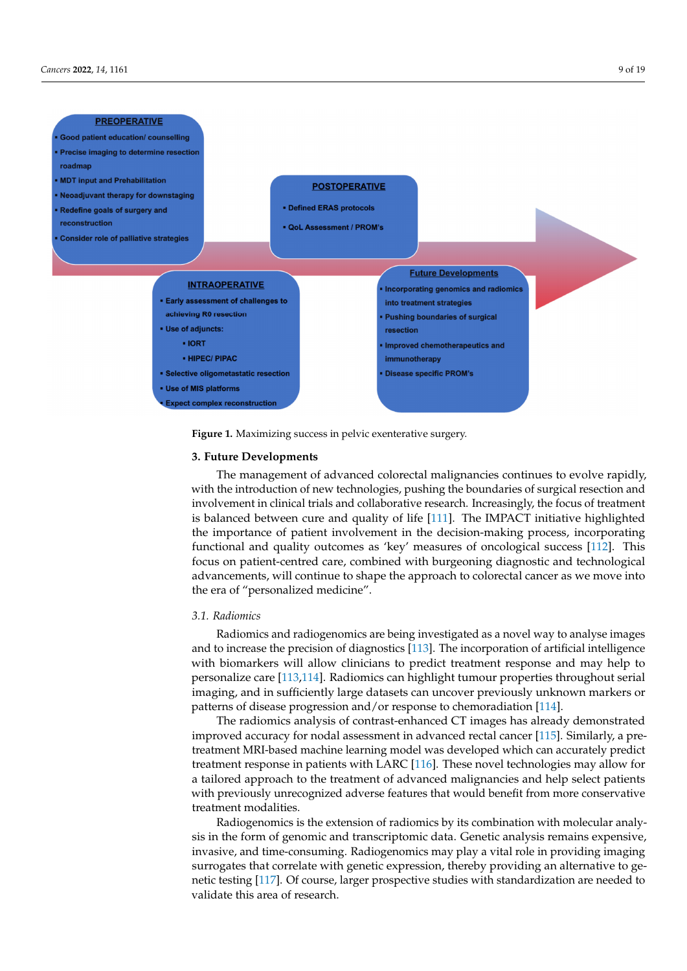<span id="page-8-0"></span>

**Figure 1.** Maximizing success in pelvic exenterative surgery. **Figure 1.** Maximizing success in pelvic exenterative surgery.

# **3. Future Developments 3. Future Developments**

The management of advanced colorectal malignancies continues to evolve rapidly, The management of advanced colorectal malignancies continues to evolve rapidly, with the introduction of new technologies, pushing the boundaries of surgical resection with the introduction of new technologies, pushing the boundaries of surgical resection and involvement in clinical trials and collaborative research. Increasingly, the focus of treatment is balanced between cure and quality of life [\[111\]](#page-17-6). The IMPACT initiative highlighted the importance of patient involvement in the decision-making process, incorporating functional and quality outcomes as 'key' measures of oncological success [\[112\]](#page-17-7). This focus on patient-centred care, combined with burgeoning diagnostic and technological focus on patient-centred care, combined with burgeoning diagnostic and technological advancements, will continue to shape the approach to colorectal cancer as we move into advancements, will continue to shape the approach to colorectal cancer as we move into the era of "personalized medicine". the era of "personalized medicine".

# *3.1. Radiomics 3.1. Radiomics*

Radiomics and radiogenomics are being investigated as a novel way to analyse im-Radiomics and radiogenomics are being investigated as a novel way to analyse images and to increase the precision of diagnostics [\[113\]](#page-17-8). The incorporation of artificial intelligence with biomarkers will allow clinicians to predict treatment response and may help to personalize care [\[113,](#page-17-8)[114\]](#page-17-9). Radiomics can highlight tumour properties throughout serial imaging, and in sufficiently large datasets can uncover previously unknown markers or patterns of disease progression and/or response to chemoradiation [\[114\]](#page-17-9).

The radiomics analysis of contrast-enhanced CT images has already demonstrated improved accuracy for nodal assessment in advanced rectal cancer [\[115\]](#page-17-10). Similarly, a pretreatment MRI-based machine learning model was developed which can accurately predict treatment response in patients with LARC [\[116\]](#page-17-11). These novel technologies may allow for a tailored approach to the treatment of advanced malignancies and help select patients with previously unrecognized adverse features that would benefit from more conservative treatment modalities.

Radiogenomics is the extension of radiomics by its combination with molecular analysis in the form of genomic and transcriptomic data. Genetic analysis remains expensive, invasive, and time-consuming. Radiogenomics may play a vital role in providing imaging surrogates that correlate with genetic expression, thereby providing an alternative to genetic testing [\[117\]](#page-17-12). Of course, larger prospective studies with standardization are needed to validate this area of research.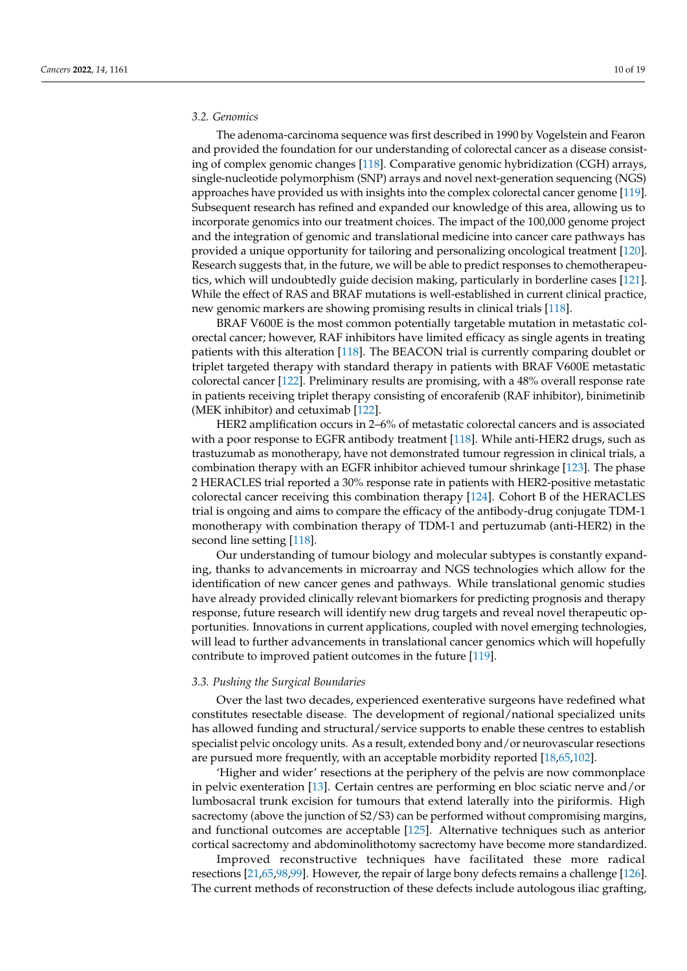# *3.2. Genomics*

The adenoma-carcinoma sequence was first described in 1990 by Vogelstein and Fearon and provided the foundation for our understanding of colorectal cancer as a disease consisting of complex genomic changes [\[118\]](#page-17-13). Comparative genomic hybridization (CGH) arrays, single-nucleotide polymorphism (SNP) arrays and novel next-generation sequencing (NGS) approaches have provided us with insights into the complex colorectal cancer genome [\[119\]](#page-17-14). Subsequent research has refined and expanded our knowledge of this area, allowing us to incorporate genomics into our treatment choices. The impact of the 100,000 genome project and the integration of genomic and translational medicine into cancer care pathways has provided a unique opportunity for tailoring and personalizing oncological treatment [\[120\]](#page-17-15). Research suggests that, in the future, we will be able to predict responses to chemotherapeutics, which will undoubtedly guide decision making, particularly in borderline cases [\[121\]](#page-17-16). While the effect of RAS and BRAF mutations is well-established in current clinical practice, new genomic markers are showing promising results in clinical trials [\[118\]](#page-17-13).

BRAF V600E is the most common potentially targetable mutation in metastatic colorectal cancer; however, RAF inhibitors have limited efficacy as single agents in treating patients with this alteration [\[118\]](#page-17-13). The BEACON trial is currently comparing doublet or triplet targeted therapy with standard therapy in patients with BRAF V600E metastatic colorectal cancer [\[122\]](#page-17-17). Preliminary results are promising, with a 48% overall response rate in patients receiving triplet therapy consisting of encorafenib (RAF inhibitor), binimetinib (MEK inhibitor) and cetuximab [\[122\]](#page-17-17).

HER2 amplification occurs in 2–6% of metastatic colorectal cancers and is associated with a poor response to EGFR antibody treatment [\[118\]](#page-17-13). While anti-HER2 drugs, such as trastuzumab as monotherapy, have not demonstrated tumour regression in clinical trials, a combination therapy with an EGFR inhibitor achieved tumour shrinkage [\[123\]](#page-17-18). The phase 2 HERACLES trial reported a 30% response rate in patients with HER2-positive metastatic colorectal cancer receiving this combination therapy [\[124\]](#page-17-19). Cohort B of the HERACLES trial is ongoing and aims to compare the efficacy of the antibody-drug conjugate TDM-1 monotherapy with combination therapy of TDM-1 and pertuzumab (anti-HER2) in the second line setting [\[118\]](#page-17-13).

Our understanding of tumour biology and molecular subtypes is constantly expanding, thanks to advancements in microarray and NGS technologies which allow for the identification of new cancer genes and pathways. While translational genomic studies have already provided clinically relevant biomarkers for predicting prognosis and therapy response, future research will identify new drug targets and reveal novel therapeutic opportunities. Innovations in current applications, coupled with novel emerging technologies, will lead to further advancements in translational cancer genomics which will hopefully contribute to improved patient outcomes in the future [\[119\]](#page-17-14).

# *3.3. Pushing the Surgical Boundaries*

Over the last two decades, experienced exenterative surgeons have redefined what constitutes resectable disease. The development of regional/national specialized units has allowed funding and structural/service supports to enable these centres to establish specialist pelvic oncology units. As a result, extended bony and/or neurovascular resections are pursued more frequently, with an acceptable morbidity reported [\[18](#page-13-9)[,65](#page-15-10)[,102\]](#page-16-20).

'Higher and wider' resections at the periphery of the pelvis are now commonplace in pelvic exenteration [\[13\]](#page-13-7). Certain centres are performing en bloc sciatic nerve and/or lumbosacral trunk excision for tumours that extend laterally into the piriformis. High sacrectomy (above the junction of S2/S3) can be performed without compromising margins, and functional outcomes are acceptable [\[125\]](#page-17-20). Alternative techniques such as anterior cortical sacrectomy and abdominolithotomy sacrectomy have become more standardized.

Improved reconstructive techniques have facilitated these more radical resections [\[21,](#page-13-12)[65,](#page-15-10)[98](#page-16-16)[,99\]](#page-16-17). However, the repair of large bony defects remains a challenge [\[126\]](#page-17-21). The current methods of reconstruction of these defects include autologous iliac grafting,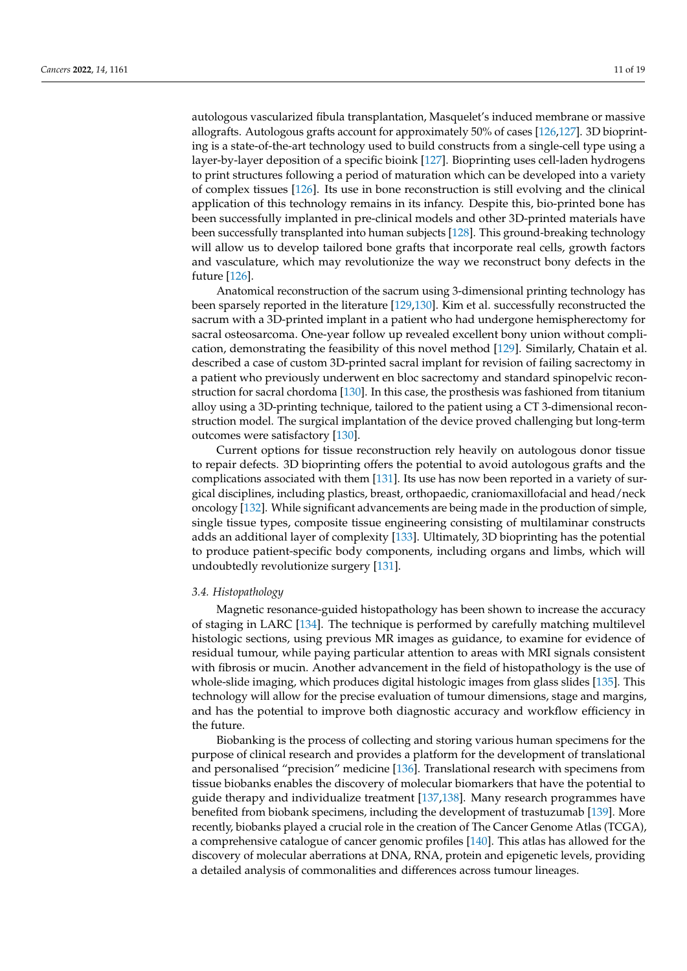autologous vascularized fibula transplantation, Masquelet's induced membrane or massive allografts. Autologous grafts account for approximately 50% of cases [\[126](#page-17-21)[,127\]](#page-17-22). 3D bioprinting is a state-of-the-art technology used to build constructs from a single-cell type using a layer-by-layer deposition of a specific bioink [\[127\]](#page-17-22). Bioprinting uses cell-laden hydrogens to print structures following a period of maturation which can be developed into a variety of complex tissues [\[126\]](#page-17-21). Its use in bone reconstruction is still evolving and the clinical application of this technology remains in its infancy. Despite this, bio-printed bone has been successfully implanted in pre-clinical models and other 3D-printed materials have been successfully transplanted into human subjects [\[128\]](#page-17-23). This ground-breaking technology will allow us to develop tailored bone grafts that incorporate real cells, growth factors and vasculature, which may revolutionize the way we reconstruct bony defects in the future [\[126\]](#page-17-21).

Anatomical reconstruction of the sacrum using 3-dimensional printing technology has been sparsely reported in the literature [\[129](#page-18-0)[,130\]](#page-18-1). Kim et al. successfully reconstructed the sacrum with a 3D-printed implant in a patient who had undergone hemispherectomy for sacral osteosarcoma. One-year follow up revealed excellent bony union without complication, demonstrating the feasibility of this novel method [\[129\]](#page-18-0). Similarly, Chatain et al. described a case of custom 3D-printed sacral implant for revision of failing sacrectomy in a patient who previously underwent en bloc sacrectomy and standard spinopelvic reconstruction for sacral chordoma [\[130\]](#page-18-1). In this case, the prosthesis was fashioned from titanium alloy using a 3D-printing technique, tailored to the patient using a CT 3-dimensional reconstruction model. The surgical implantation of the device proved challenging but long-term outcomes were satisfactory [\[130\]](#page-18-1).

Current options for tissue reconstruction rely heavily on autologous donor tissue to repair defects. 3D bioprinting offers the potential to avoid autologous grafts and the complications associated with them [\[131\]](#page-18-2). Its use has now been reported in a variety of surgical disciplines, including plastics, breast, orthopaedic, craniomaxillofacial and head/neck oncology [\[132\]](#page-18-3). While significant advancements are being made in the production of simple, single tissue types, composite tissue engineering consisting of multilaminar constructs adds an additional layer of complexity [\[133\]](#page-18-4). Ultimately, 3D bioprinting has the potential to produce patient-specific body components, including organs and limbs, which will undoubtedly revolutionize surgery [\[131\]](#page-18-2).

## *3.4. Histopathology*

Magnetic resonance-guided histopathology has been shown to increase the accuracy of staging in LARC [\[134\]](#page-18-5). The technique is performed by carefully matching multilevel histologic sections, using previous MR images as guidance, to examine for evidence of residual tumour, while paying particular attention to areas with MRI signals consistent with fibrosis or mucin. Another advancement in the field of histopathology is the use of whole-slide imaging, which produces digital histologic images from glass slides [\[135\]](#page-18-6). This technology will allow for the precise evaluation of tumour dimensions, stage and margins, and has the potential to improve both diagnostic accuracy and workflow efficiency in the future.

Biobanking is the process of collecting and storing various human specimens for the purpose of clinical research and provides a platform for the development of translational and personalised "precision" medicine [\[136\]](#page-18-7). Translational research with specimens from tissue biobanks enables the discovery of molecular biomarkers that have the potential to guide therapy and individualize treatment [\[137,](#page-18-8)[138\]](#page-18-9). Many research programmes have benefited from biobank specimens, including the development of trastuzumab [\[139\]](#page-18-10). More recently, biobanks played a crucial role in the creation of The Cancer Genome Atlas (TCGA), a comprehensive catalogue of cancer genomic profiles [\[140\]](#page-18-11). This atlas has allowed for the discovery of molecular aberrations at DNA, RNA, protein and epigenetic levels, providing a detailed analysis of commonalities and differences across tumour lineages.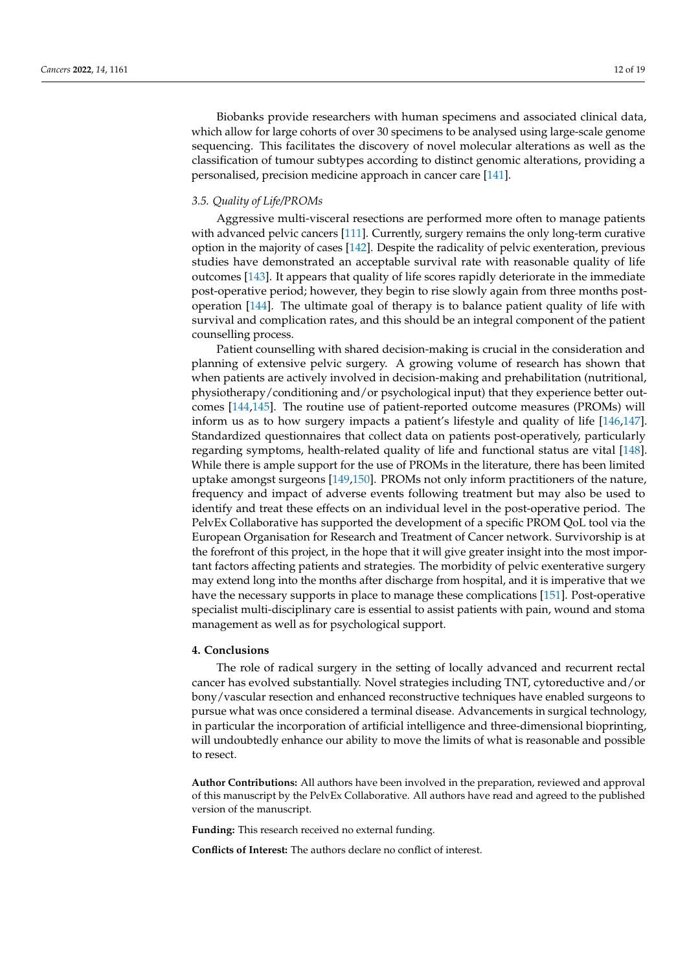Biobanks provide researchers with human specimens and associated clinical data, which allow for large cohorts of over 30 specimens to be analysed using large-scale genome sequencing. This facilitates the discovery of novel molecular alterations as well as the classification of tumour subtypes according to distinct genomic alterations, providing a personalised, precision medicine approach in cancer care [\[141\]](#page-18-12).

# *3.5. Quality of Life/PROMs*

Aggressive multi-visceral resections are performed more often to manage patients with advanced pelvic cancers [\[111\]](#page-17-6). Currently, surgery remains the only long-term curative option in the majority of cases [\[142\]](#page-18-13). Despite the radicality of pelvic exenteration, previous studies have demonstrated an acceptable survival rate with reasonable quality of life outcomes [\[143\]](#page-18-14). It appears that quality of life scores rapidly deteriorate in the immediate post-operative period; however, they begin to rise slowly again from three months postoperation [\[144\]](#page-18-15). The ultimate goal of therapy is to balance patient quality of life with survival and complication rates, and this should be an integral component of the patient counselling process.

Patient counselling with shared decision-making is crucial in the consideration and planning of extensive pelvic surgery. A growing volume of research has shown that when patients are actively involved in decision-making and prehabilitation (nutritional, physiotherapy/conditioning and/or psychological input) that they experience better outcomes [\[144](#page-18-15)[,145\]](#page-18-16). The routine use of patient-reported outcome measures (PROMs) will inform us as to how surgery impacts a patient's lifestyle and quality of life [\[146,](#page-18-17)[147\]](#page-18-18). Standardized questionnaires that collect data on patients post-operatively, particularly regarding symptoms, health-related quality of life and functional status are vital [\[148\]](#page-18-19). While there is ample support for the use of PROMs in the literature, there has been limited uptake amongst surgeons [\[149,](#page-18-20)[150\]](#page-18-21). PROMs not only inform practitioners of the nature, frequency and impact of adverse events following treatment but may also be used to identify and treat these effects on an individual level in the post-operative period. The PelvEx Collaborative has supported the development of a specific PROM QoL tool via the European Organisation for Research and Treatment of Cancer network. Survivorship is at the forefront of this project, in the hope that it will give greater insight into the most important factors affecting patients and strategies. The morbidity of pelvic exenterative surgery may extend long into the months after discharge from hospital, and it is imperative that we have the necessary supports in place to manage these complications [\[151\]](#page-18-22). Post-operative specialist multi-disciplinary care is essential to assist patients with pain, wound and stoma management as well as for psychological support.

# **4. Conclusions**

The role of radical surgery in the setting of locally advanced and recurrent rectal cancer has evolved substantially. Novel strategies including TNT, cytoreductive and/or bony/vascular resection and enhanced reconstructive techniques have enabled surgeons to pursue what was once considered a terminal disease. Advancements in surgical technology, in particular the incorporation of artificial intelligence and three-dimensional bioprinting, will undoubtedly enhance our ability to move the limits of what is reasonable and possible to resect.

**Author Contributions:** All authors have been involved in the preparation, reviewed and approval of this manuscript by the PelvEx Collaborative. All authors have read and agreed to the published version of the manuscript.

**Funding:** This research received no external funding.

**Conflicts of Interest:** The authors declare no conflict of interest.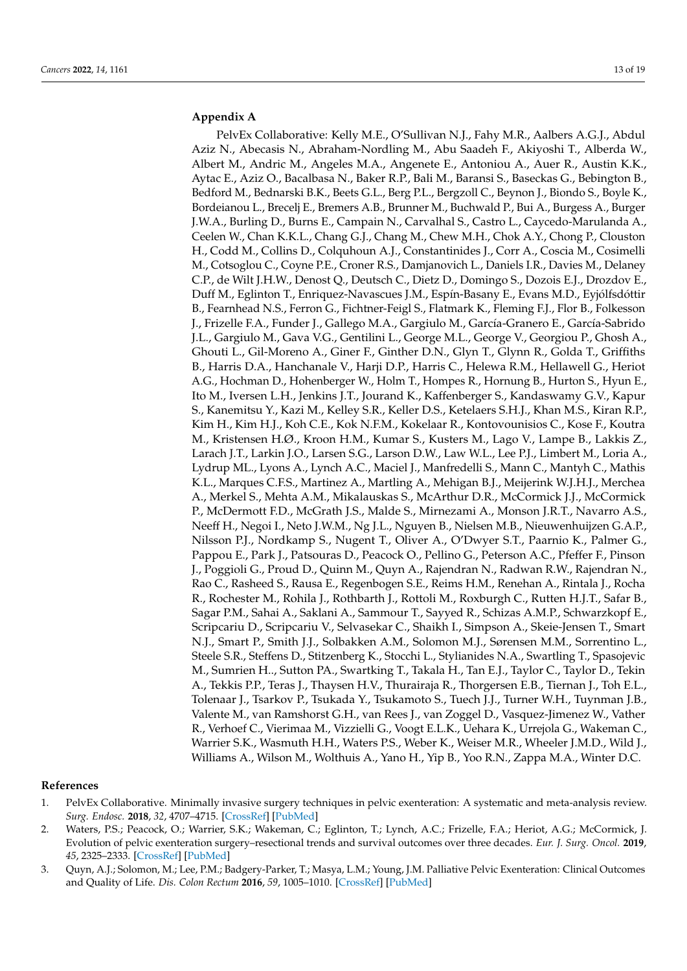# <span id="page-12-0"></span>**Appendix A**

PelvEx Collaborative: Kelly M.E., O'Sullivan N.J., Fahy M.R., Aalbers A.G.J., Abdul Aziz N., Abecasis N., Abraham-Nordling M., Abu Saadeh F., Akiyoshi T., Alberda W., Albert M., Andric M., Angeles M.A., Angenete E., Antoniou A., Auer R., Austin K.K., Aytac E., Aziz O., Bacalbasa N., Baker R.P., Bali M., Baransi S., Baseckas G., Bebington B., Bedford M., Bednarski B.K., Beets G.L., Berg P.L., Bergzoll C., Beynon J., Biondo S., Boyle K., Bordeianou L., Brecelj E., Bremers A.B., Brunner M., Buchwald P., Bui A., Burgess A., Burger J.W.A., Burling D., Burns E., Campain N., Carvalhal S., Castro L., Caycedo-Marulanda A., Ceelen W., Chan K.K.L., Chang G.J., Chang M., Chew M.H., Chok A.Y., Chong P., Clouston H., Codd M., Collins D., Colquhoun A.J., Constantinides J., Corr A., Coscia M., Cosimelli M., Cotsoglou C., Coyne P.E., Croner R.S., Damjanovich L., Daniels I.R., Davies M., Delaney C.P., de Wilt J.H.W., Denost Q., Deutsch C., Dietz D., Domingo S., Dozois E.J., Drozdov E., Duff M., Eglinton T., Enriquez-Navascues J.M., Espín-Basany E., Evans M.D., Eyjólfsdóttir B., Fearnhead N.S., Ferron G., Fichtner-Feigl S., Flatmark K., Fleming F.J., Flor B., Folkesson J., Frizelle F.A., Funder J., Gallego M.A., Gargiulo M., García-Granero E., García-Sabrido J.L., Gargiulo M., Gava V.G., Gentilini L., George M.L., George V., Georgiou P., Ghosh A., Ghouti L., Gil-Moreno A., Giner F., Ginther D.N., Glyn T., Glynn R., Golda T., Griffiths B., Harris D.A., Hanchanale V., Harji D.P., Harris C., Helewa R.M., Hellawell G., Heriot A.G., Hochman D., Hohenberger W., Holm T., Hompes R., Hornung B., Hurton S., Hyun E., Ito M., Iversen L.H., Jenkins J.T., Jourand K., Kaffenberger S., Kandaswamy G.V., Kapur S., Kanemitsu Y., Kazi M., Kelley S.R., Keller D.S., Ketelaers S.H.J., Khan M.S., Kiran R.P., Kim H., Kim H.J., Koh C.E., Kok N.F.M., Kokelaar R., Kontovounisios C., Kose F., Koutra M., Kristensen H.Ø., Kroon H.M., Kumar S., Kusters M., Lago V., Lampe B., Lakkis Z., Larach J.T., Larkin J.O., Larsen S.G., Larson D.W., Law W.L., Lee P.J., Limbert M., Loria A., Lydrup ML., Lyons A., Lynch A.C., Maciel J., Manfredelli S., Mann C., Mantyh C., Mathis K.L., Marques C.F.S., Martinez A., Martling A., Mehigan B.J., Meijerink W.J.H.J., Merchea A., Merkel S., Mehta A.M., Mikalauskas S., McArthur D.R., McCormick J.J., McCormick P., McDermott F.D., McGrath J.S., Malde S., Mirnezami A., Monson J.R.T., Navarro A.S., Neeff H., Negoi I., Neto J.W.M., Ng J.L., Nguyen B., Nielsen M.B., Nieuwenhuijzen G.A.P., Nilsson P.J., Nordkamp S., Nugent T., Oliver A., O'Dwyer S.T., Paarnio K., Palmer G., Pappou E., Park J., Patsouras D., Peacock O., Pellino G., Peterson A.C., Pfeffer F., Pinson J., Poggioli G., Proud D., Quinn M., Quyn A., Rajendran N., Radwan R.W., Rajendran N., Rao C., Rasheed S., Rausa E., Regenbogen S.E., Reims H.M., Renehan A., Rintala J., Rocha R., Rochester M., Rohila J., Rothbarth J., Rottoli M., Roxburgh C., Rutten H.J.T., Safar B., Sagar P.M., Sahai A., Saklani A., Sammour T., Sayyed R., Schizas A.M.P., Schwarzkopf E., Scripcariu D., Scripcariu V., Selvasekar C., Shaikh I., Simpson A., Skeie-Jensen T., Smart N.J., Smart P., Smith J.J., Solbakken A.M., Solomon M.J., Sørensen M.M., Sorrentino L., Steele S.R., Steffens D., Stitzenberg K., Stocchi L., Stylianides N.A., Swartling T., Spasojevic M., Sumrien H.., Sutton PA., Swartking T., Takala H., Tan E.J., Taylor C., Taylor D., Tekin A., Tekkis P.P., Teras J., Thaysen H.V., Thurairaja R., Thorgersen E.B., Tiernan J., Toh E.L., Tolenaar J., Tsarkov P., Tsukada Y., Tsukamoto S., Tuech J.J., Turner W.H., Tuynman J.B., Valente M., van Ramshorst G.H., van Rees J., van Zoggel D., Vasquez-Jimenez W., Vather R., Verhoef C., Vierimaa M., Vizzielli G., Voogt E.L.K., Uehara K., Urrejola G., Wakeman C., Warrier S.K., Wasmuth H.H., Waters P.S., Weber K., Weiser M.R., Wheeler J.M.D., Wild J., Williams A., Wilson M., Wolthuis A., Yano H., Yip B., Yoo R.N., Zappa M.A., Winter D.C.

## **References**

- <span id="page-12-1"></span>1. PelvEx Collaborative. Minimally invasive surgery techniques in pelvic exenteration: A systematic and meta-analysis review. *Surg. Endosc.* **2018**, *32*, 4707–4715. [\[CrossRef\]](http://doi.org/10.1007/s00464-018-6299-5) [\[PubMed\]](http://www.ncbi.nlm.nih.gov/pubmed/30019221)
- <span id="page-12-2"></span>2. Waters, P.S.; Peacock, O.; Warrier, S.K.; Wakeman, C.; Eglinton, T.; Lynch, A.C.; Frizelle, F.A.; Heriot, A.G.; McCormick, J. Evolution of pelvic exenteration surgery–resectional trends and survival outcomes over three decades. *Eur. J. Surg. Oncol.* **2019**, *45*, 2325–2333. [\[CrossRef\]](http://doi.org/10.1016/j.ejso.2019.07.015) [\[PubMed\]](http://www.ncbi.nlm.nih.gov/pubmed/31303376)
- <span id="page-12-3"></span>3. Quyn, A.J.; Solomon, M.; Lee, P.M.; Badgery-Parker, T.; Masya, L.M.; Young, J.M. Palliative Pelvic Exenteration: Clinical Outcomes and Quality of Life. *Dis. Colon Rectum* **2016**, *59*, 1005–1010. [\[CrossRef\]](http://doi.org/10.1097/DCR.0000000000000679) [\[PubMed\]](http://www.ncbi.nlm.nih.gov/pubmed/27749474)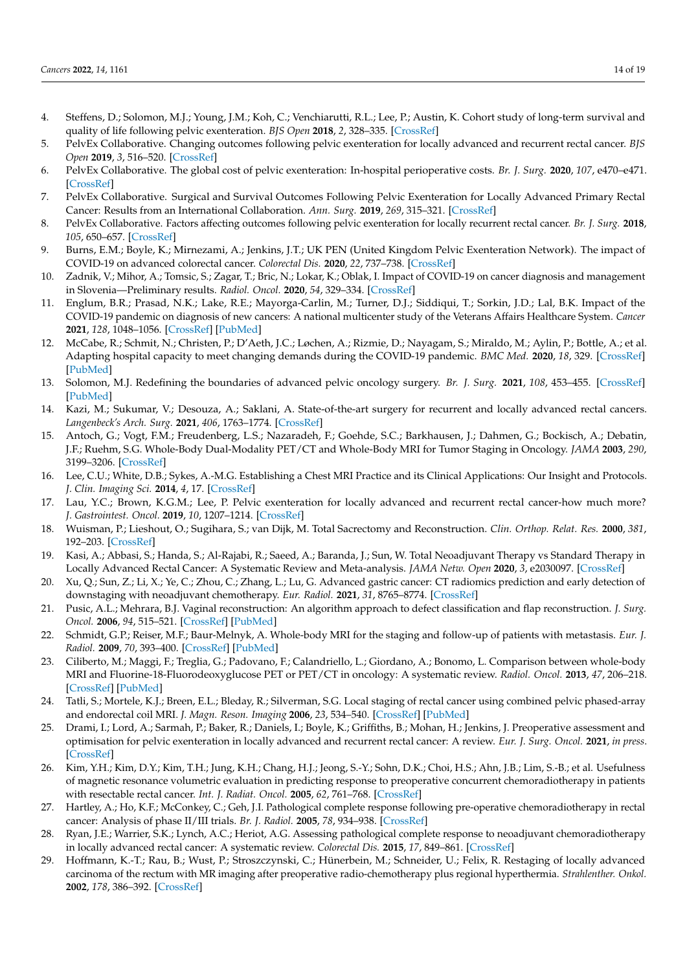- <span id="page-13-0"></span>4. Steffens, D.; Solomon, M.J.; Young, J.M.; Koh, C.; Venchiarutti, R.L.; Lee, P.; Austin, K. Cohort study of long-term survival and quality of life following pelvic exenteration. *BJS Open* **2018**, *2*, 328–335. [\[CrossRef\]](http://doi.org/10.1002/bjs5.75)
- <span id="page-13-1"></span>5. PelvEx Collaborative. Changing outcomes following pelvic exenteration for locally advanced and recurrent rectal cancer. *BJS Open* **2019**, *3*, 516–520. [\[CrossRef\]](http://doi.org/10.1002/bjs5.50153)
- 6. PelvEx Collaborative. The global cost of pelvic exenteration: In-hospital perioperative costs. *Br. J. Surg.* **2020**, *107*, e470–e471. [\[CrossRef\]](http://doi.org/10.1002/bjs.11924)
- <span id="page-13-20"></span>7. PelvEx Collaborative. Surgical and Survival Outcomes Following Pelvic Exenteration for Locally Advanced Primary Rectal Cancer: Results from an International Collaboration. *Ann. Surg.* **2019**, *269*, 315–321. [\[CrossRef\]](http://doi.org/10.1097/SLA.0000000000002528)
- <span id="page-13-2"></span>8. PelvEx Collaborative. Factors affecting outcomes following pelvic exenteration for locally recurrent rectal cancer. *Br. J. Surg.* **2018**, *105*, 650–657. [\[CrossRef\]](http://doi.org/10.1002/bjs.10734)
- <span id="page-13-3"></span>9. Burns, E.M.; Boyle, K.; Mirnezami, A.; Jenkins, J.T.; UK PEN (United Kingdom Pelvic Exenteration Network). The impact of COVID-19 on advanced colorectal cancer. *Colorectal Dis.* **2020**, *22*, 737–738. [\[CrossRef\]](http://doi.org/10.1111/codi.15185)
- <span id="page-13-4"></span>10. Zadnik, V.; Mihor, A.; Tomsic, S.; Zagar, T.; Bric, N.; Lokar, K.; Oblak, I. Impact of COVID-19 on cancer diagnosis and management in Slovenia—Preliminary results. *Radiol. Oncol.* **2020**, *54*, 329–334. [\[CrossRef\]](http://doi.org/10.2478/raon-2020-0048)
- <span id="page-13-5"></span>11. Englum, B.R.; Prasad, N.K.; Lake, R.E.; Mayorga-Carlin, M.; Turner, D.J.; Siddiqui, T.; Sorkin, J.D.; Lal, B.K. Impact of the COVID-19 pandemic on diagnosis of new cancers: A national multicenter study of the Veterans Affairs Healthcare System. *Cancer* **2021**, *128*, 1048–1056. [\[CrossRef\]](http://doi.org/10.1002/cncr.34011) [\[PubMed\]](http://www.ncbi.nlm.nih.gov/pubmed/34866184)
- <span id="page-13-6"></span>12. McCabe, R.; Schmit, N.; Christen, P.; D'Aeth, J.C.; Løchen, A.; Rizmie, D.; Nayagam, S.; Miraldo, M.; Aylin, P.; Bottle, A.; et al. Adapting hospital capacity to meet changing demands during the COVID-19 pandemic. *BMC Med.* **2020**, *18*, 329. [\[CrossRef\]](http://doi.org/10.1186/s12916-020-01781-w) [\[PubMed\]](http://www.ncbi.nlm.nih.gov/pubmed/33066777)
- <span id="page-13-7"></span>13. Solomon, M.J. Redefining the boundaries of advanced pelvic oncology surgery. *Br. J. Surg.* **2021**, *108*, 453–455. [\[CrossRef\]](http://doi.org/10.1093/bjs/znab047) [\[PubMed\]](http://www.ncbi.nlm.nih.gov/pubmed/33608731)
- <span id="page-13-8"></span>14. Kazi, M.; Sukumar, V.; Desouza, A.; Saklani, A. State-of-the-art surgery for recurrent and locally advanced rectal cancers. *Langenbeck's Arch. Surg.* **2021**, *406*, 1763–1774. [\[CrossRef\]](http://doi.org/10.1007/s00423-021-02285-8)
- <span id="page-13-13"></span>15. Antoch, G.; Vogt, F.M.; Freudenberg, L.S.; Nazaradeh, F.; Goehde, S.C.; Barkhausen, J.; Dahmen, G.; Bockisch, A.; Debatin, J.F.; Ruehm, S.G. Whole-Body Dual-Modality PET/CT and Whole-Body MRI for Tumor Staging in Oncology. *JAMA* **2003**, *290*, 3199–3206. [\[CrossRef\]](http://doi.org/10.1001/jama.290.24.3199)
- <span id="page-13-16"></span>16. Lee, C.U.; White, D.B.; Sykes, A.-M.G. Establishing a Chest MRI Practice and its Clinical Applications: Our Insight and Protocols. *J. Clin. Imaging Sci.* **2014**, *4*, 17. [\[CrossRef\]](http://doi.org/10.4103/2156-7514.129288)
- <span id="page-13-21"></span>17. Lau, Y.C.; Brown, K.G.M.; Lee, P. Pelvic exenteration for locally advanced and recurrent rectal cancer-how much more? *J. Gastrointest. Oncol.* **2019**, *10*, 1207–1214. [\[CrossRef\]](http://doi.org/10.21037/jgo.2019.01.21)
- <span id="page-13-9"></span>18. Wuisman, P.; Lieshout, O.; Sugihara, S.; van Dijk, M. Total Sacrectomy and Reconstruction. *Clin. Orthop. Relat. Res.* **2000**, *381*, 192–203. [\[CrossRef\]](http://doi.org/10.1097/00003086-200012000-00023)
- <span id="page-13-10"></span>19. Kasi, A.; Abbasi, S.; Handa, S.; Al-Rajabi, R.; Saeed, A.; Baranda, J.; Sun, W. Total Neoadjuvant Therapy vs Standard Therapy in Locally Advanced Rectal Cancer: A Systematic Review and Meta-analysis. *JAMA Netw. Open* **2020**, *3*, e2030097. [\[CrossRef\]](http://doi.org/10.1001/jamanetworkopen.2020.30097)
- <span id="page-13-11"></span>20. Xu, Q.; Sun, Z.; Li, X.; Ye, C.; Zhou, C.; Zhang, L.; Lu, G. Advanced gastric cancer: CT radiomics prediction and early detection of downstaging with neoadjuvant chemotherapy. *Eur. Radiol.* **2021**, *31*, 8765–8774. [\[CrossRef\]](http://doi.org/10.1007/s00330-021-07962-2)
- <span id="page-13-12"></span>21. Pusic, A.L.; Mehrara, B.J. Vaginal reconstruction: An algorithm approach to defect classification and flap reconstruction. *J. Surg. Oncol.* **2006**, *94*, 515–521. [\[CrossRef\]](http://doi.org/10.1002/jso.20489) [\[PubMed\]](http://www.ncbi.nlm.nih.gov/pubmed/17061272)
- <span id="page-13-14"></span>22. Schmidt, G.P.; Reiser, M.F.; Baur-Melnyk, A. Whole-body MRI for the staging and follow-up of patients with metastasis. *Eur. J. Radiol.* **2009**, *70*, 393–400. [\[CrossRef\]](http://doi.org/10.1016/j.ejrad.2009.03.045) [\[PubMed\]](http://www.ncbi.nlm.nih.gov/pubmed/19457631)
- <span id="page-13-15"></span>23. Ciliberto, M.; Maggi, F.; Treglia, G.; Padovano, F.; Calandriello, L.; Giordano, A.; Bonomo, L. Comparison between whole-body MRI and Fluorine-18-Fluorodeoxyglucose PET or PET/CT in oncology: A systematic review. *Radiol. Oncol.* **2013**, *47*, 206–218. [\[CrossRef\]](http://doi.org/10.2478/raon-2013-0007) [\[PubMed\]](http://www.ncbi.nlm.nih.gov/pubmed/24133384)
- <span id="page-13-17"></span>24. Tatli, S.; Mortele, K.J.; Breen, E.L.; Bleday, R.; Silverman, S.G. Local staging of rectal cancer using combined pelvic phased-array and endorectal coil MRI. *J. Magn. Reson. Imaging* **2006**, *23*, 534–540. [\[CrossRef\]](http://doi.org/10.1002/jmri.20533) [\[PubMed\]](http://www.ncbi.nlm.nih.gov/pubmed/16523466)
- <span id="page-13-18"></span>25. Drami, I.; Lord, A.; Sarmah, P.; Baker, R.; Daniels, I.; Boyle, K.; Griffiths, B.; Mohan, H.; Jenkins, J. Preoperative assessment and optimisation for pelvic exenteration in locally advanced and recurrent rectal cancer: A review. *Eur. J. Surg. Oncol.* **2021**, *in press*. [\[CrossRef\]](http://doi.org/10.1016/j.ejso.2021.11.007)
- <span id="page-13-19"></span>26. Kim, Y.H.; Kim, D.Y.; Kim, T.H.; Jung, K.H.; Chang, H.J.; Jeong, S.-Y.; Sohn, D.K.; Choi, H.S.; Ahn, J.B.; Lim, S.-B.; et al. Usefulness of magnetic resonance volumetric evaluation in predicting response to preoperative concurrent chemoradiotherapy in patients with resectable rectal cancer. *Int. J. Radiat. Oncol.* **2005**, *62*, 761–768. [\[CrossRef\]](http://doi.org/10.1016/j.ijrobp.2004.11.005)
- 27. Hartley, A.; Ho, K.F.; McConkey, C.; Geh, J.I. Pathological complete response following pre-operative chemoradiotherapy in rectal cancer: Analysis of phase II/III trials. *Br. J. Radiol.* **2005**, *78*, 934–938. [\[CrossRef\]](http://doi.org/10.1259/bjr/86650067)
- 28. Ryan, J.E.; Warrier, S.K.; Lynch, A.C.; Heriot, A.G. Assessing pathological complete response to neoadjuvant chemoradiotherapy in locally advanced rectal cancer: A systematic review. *Colorectal Dis.* **2015**, *17*, 849–861. [\[CrossRef\]](http://doi.org/10.1111/codi.13081)
- 29. Hoffmann, K.-T.; Rau, B.; Wust, P.; Stroszczynski, C.; Hünerbein, M.; Schneider, U.; Felix, R. Restaging of locally advanced carcinoma of the rectum with MR imaging after preoperative radio-chemotherapy plus regional hyperthermia. *Strahlenther. Onkol.* **2002**, *178*, 386–392. [\[CrossRef\]](http://doi.org/10.1007/s00066-002-0938-3)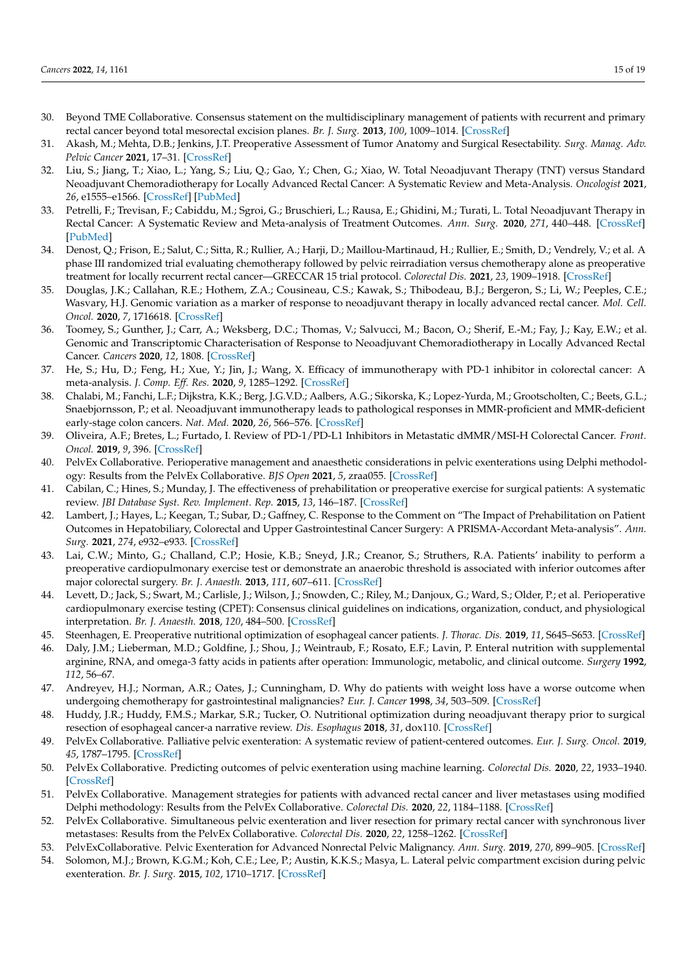- <span id="page-14-0"></span>30. Beyond TME Collaborative. Consensus statement on the multidisciplinary management of patients with recurrent and primary rectal cancer beyond total mesorectal excision planes. *Br. J. Surg.* **2013**, *100*, 1009–1014. [\[CrossRef\]](http://doi.org/10.1002/bjs.9192)
- <span id="page-14-1"></span>31. Akash, M.; Mehta, D.B.; Jenkins, J.T. Preoperative Assessment of Tumor Anatomy and Surgical Resectability. *Surg. Manag. Adv. Pelvic Cancer* **2021**, 17–31. [\[CrossRef\]](http://doi.org/10.1002/9781119518495.ch3)
- <span id="page-14-2"></span>32. Liu, S.; Jiang, T.; Xiao, L.; Yang, S.; Liu, Q.; Gao, Y.; Chen, G.; Xiao, W. Total Neoadjuvant Therapy (TNT) versus Standard Neoadjuvant Chemoradiotherapy for Locally Advanced Rectal Cancer: A Systematic Review and Meta-Analysis. *Oncologist* **2021**, *26*, e1555–e1566. [\[CrossRef\]](http://doi.org/10.1002/onco.13824) [\[PubMed\]](http://www.ncbi.nlm.nih.gov/pubmed/33987952)
- <span id="page-14-3"></span>33. Petrelli, F.; Trevisan, F.; Cabiddu, M.; Sgroi, G.; Bruschieri, L.; Rausa, E.; Ghidini, M.; Turati, L. Total Neoadjuvant Therapy in Rectal Cancer: A Systematic Review and Meta-analysis of Treatment Outcomes. *Ann. Surg.* **2020**, *271*, 440–448. [\[CrossRef\]](http://doi.org/10.1097/SLA.0000000000003471) [\[PubMed\]](http://www.ncbi.nlm.nih.gov/pubmed/31318794)
- <span id="page-14-4"></span>34. Denost, Q.; Frison, E.; Salut, C.; Sitta, R.; Rullier, A.; Harji, D.; Maillou-Martinaud, H.; Rullier, E.; Smith, D.; Vendrely, V.; et al. A phase III randomized trial evaluating chemotherapy followed by pelvic reirradiation versus chemotherapy alone as preoperative treatment for locally recurrent rectal cancer—GRECCAR 15 trial protocol. *Colorectal Dis.* **2021**, *23*, 1909–1918. [\[CrossRef\]](http://doi.org/10.1111/codi.15670)
- <span id="page-14-5"></span>35. Douglas, J.K.; Callahan, R.E.; Hothem, Z.A.; Cousineau, C.S.; Kawak, S.; Thibodeau, B.J.; Bergeron, S.; Li, W.; Peeples, C.E.; Wasvary, H.J. Genomic variation as a marker of response to neoadjuvant therapy in locally advanced rectal cancer. *Mol. Cell. Oncol.* **2020**, *7*, 1716618. [\[CrossRef\]](http://doi.org/10.1080/23723556.2020.1716618)
- <span id="page-14-6"></span>36. Toomey, S.; Gunther, J.; Carr, A.; Weksberg, D.C.; Thomas, V.; Salvucci, M.; Bacon, O.; Sherif, E.-M.; Fay, J.; Kay, E.W.; et al. Genomic and Transcriptomic Characterisation of Response to Neoadjuvant Chemoradiotherapy in Locally Advanced Rectal Cancer. *Cancers* **2020**, *12*, 1808. [\[CrossRef\]](http://doi.org/10.3390/cancers12071808)
- <span id="page-14-7"></span>37. He, S.; Hu, D.; Feng, H.; Xue, Y.; Jin, J.; Wang, X. Efficacy of immunotherapy with PD-1 inhibitor in colorectal cancer: A meta-analysis. *J. Comp. Eff. Res.* **2020**, *9*, 1285–1292. [\[CrossRef\]](http://doi.org/10.2217/cer-2020-0040)
- <span id="page-14-8"></span>38. Chalabi, M.; Fanchi, L.F.; Dijkstra, K.K.; Berg, J.G.V.D.; Aalbers, A.G.; Sikorska, K.; Lopez-Yurda, M.; Grootscholten, C.; Beets, G.L.; Snaebjornsson, P.; et al. Neoadjuvant immunotherapy leads to pathological responses in MMR-proficient and MMR-deficient early-stage colon cancers. *Nat. Med.* **2020**, *26*, 566–576. [\[CrossRef\]](http://doi.org/10.1038/s41591-020-0805-8)
- <span id="page-14-9"></span>39. Oliveira, A.F.; Bretes, L.; Furtado, I. Review of PD-1/PD-L1 Inhibitors in Metastatic dMMR/MSI-H Colorectal Cancer. *Front. Oncol.* **2019**, *9*, 396. [\[CrossRef\]](http://doi.org/10.3389/fonc.2019.00396)
- <span id="page-14-10"></span>40. PelvEx Collaborative. Perioperative management and anaesthetic considerations in pelvic exenterations using Delphi methodology: Results from the PelvEx Collaborative. *BJS Open* **2021**, *5*, zraa055. [\[CrossRef\]](http://doi.org/10.1093/bjsopen/zraa055)
- <span id="page-14-11"></span>41. Cabilan, C.; Hines, S.; Munday, J. The effectiveness of prehabilitation or preoperative exercise for surgical patients: A systematic review. *JBI Database Syst. Rev. Implement. Rep.* **2015**, *13*, 146–187. [\[CrossRef\]](http://doi.org/10.11124/jbisrir-2015-1885)
- <span id="page-14-12"></span>42. Lambert, J.; Hayes, L.; Keegan, T.; Subar, D.; Gaffney, C. Response to the Comment on "The Impact of Prehabilitation on Patient Outcomes in Hepatobiliary, Colorectal and Upper Gastrointestinal Cancer Surgery: A PRISMA-Accordant Meta-analysis". *Ann. Surg.* **2021**, *274*, e932–e933. [\[CrossRef\]](http://doi.org/10.1097/SLA.0000000000005083)
- <span id="page-14-13"></span>43. Lai, C.W.; Minto, G.; Challand, C.P.; Hosie, K.B.; Sneyd, J.R.; Creanor, S.; Struthers, R.A. Patients' inability to perform a preoperative cardiopulmonary exercise test or demonstrate an anaerobic threshold is associated with inferior outcomes after major colorectal surgery. *Br. J. Anaesth.* **2013**, *111*, 607–611. [\[CrossRef\]](http://doi.org/10.1093/bja/aet193)
- <span id="page-14-14"></span>44. Levett, D.; Jack, S.; Swart, M.; Carlisle, J.; Wilson, J.; Snowden, C.; Riley, M.; Danjoux, G.; Ward, S.; Older, P.; et al. Perioperative cardiopulmonary exercise testing (CPET): Consensus clinical guidelines on indications, organization, conduct, and physiological interpretation. *Br. J. Anaesth.* **2018**, *120*, 484–500. [\[CrossRef\]](http://doi.org/10.1016/j.bja.2017.10.020)
- <span id="page-14-15"></span>45. Steenhagen, E. Preoperative nutritional optimization of esophageal cancer patients. *J. Thorac. Dis.* **2019**, *11*, S645–S653. [\[CrossRef\]](http://doi.org/10.21037/jtd.2018.11.33)
- <span id="page-14-16"></span>46. Daly, J.M.; Lieberman, M.D.; Goldfine, J.; Shou, J.; Weintraub, F.; Rosato, E.F.; Lavin, P. Enteral nutrition with supplemental arginine, RNA, and omega-3 fatty acids in patients after operation: Immunologic, metabolic, and clinical outcome. *Surgery* **1992**, *112*, 56–67.
- <span id="page-14-17"></span>47. Andreyev, H.J.; Norman, A.R.; Oates, J.; Cunningham, D. Why do patients with weight loss have a worse outcome when undergoing chemotherapy for gastrointestinal malignancies? *Eur. J. Cancer* **1998**, *34*, 503–509. [\[CrossRef\]](http://doi.org/10.1016/S0959-8049(97)10090-9)
- <span id="page-14-18"></span>48. Huddy, J.R.; Huddy, F.M.S.; Markar, S.R.; Tucker, O. Nutritional optimization during neoadjuvant therapy prior to surgical resection of esophageal cancer-a narrative review. *Dis. Esophagus* **2018**, *31*, dox110. [\[CrossRef\]](http://doi.org/10.1093/dote/dox110)
- <span id="page-14-19"></span>49. PelvEx Collaborative. Palliative pelvic exenteration: A systematic review of patient-centered outcomes. *Eur. J. Surg. Oncol.* **2019**, *45*, 1787–1795. [\[CrossRef\]](http://doi.org/10.1016/j.ejso.2019.06.011)
- 50. PelvEx Collaborative. Predicting outcomes of pelvic exenteration using machine learning. *Colorectal Dis.* **2020**, *22*, 1933–1940. [\[CrossRef\]](http://doi.org/10.1111/codi.15235)
- <span id="page-14-22"></span>51. PelvEx Collaborative. Management strategies for patients with advanced rectal cancer and liver metastases using modified Delphi methodology: Results from the PelvEx Collaborative. *Colorectal Dis.* **2020**, *22*, 1184–1188. [\[CrossRef\]](http://doi.org/10.1111/codi.15007)
- <span id="page-14-21"></span>52. PelvEx Collaborative. Simultaneous pelvic exenteration and liver resection for primary rectal cancer with synchronous liver metastases: Results from the PelvEx Collaborative. *Colorectal Dis.* **2020**, *22*, 1258–1262. [\[CrossRef\]](http://doi.org/10.1111/codi.15064)
- 53. PelvExCollaborative. Pelvic Exenteration for Advanced Nonrectal Pelvic Malignancy. *Ann. Surg.* **2019**, *270*, 899–905. [\[CrossRef\]](http://doi.org/10.1097/SLA.0000000000003533)
- <span id="page-14-20"></span>54. Solomon, M.J.; Brown, K.G.M.; Koh, C.E.; Lee, P.; Austin, K.K.S.; Masya, L. Lateral pelvic compartment excision during pelvic exenteration. *Br. J. Surg.* **2015**, *102*, 1710–1717. [\[CrossRef\]](http://doi.org/10.1002/bjs.9915)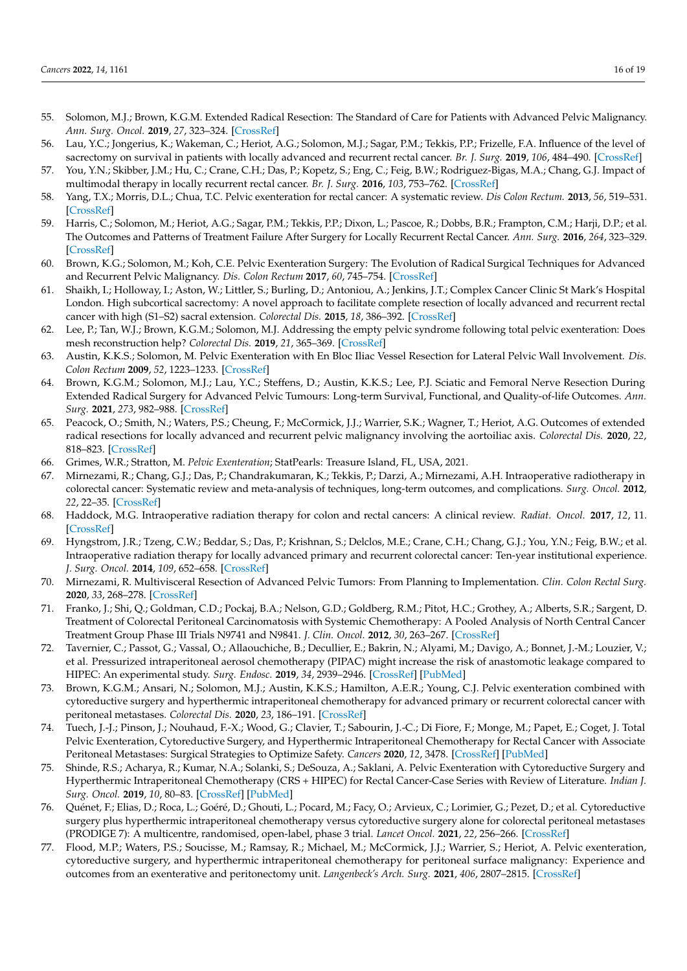- <span id="page-15-0"></span>55. Solomon, M.J.; Brown, K.G.M. Extended Radical Resection: The Standard of Care for Patients with Advanced Pelvic Malignancy. *Ann. Surg. Oncol.* **2019**, *27*, 323–324. [\[CrossRef\]](http://doi.org/10.1245/s10434-019-07817-7)
- <span id="page-15-1"></span>56. Lau, Y.C.; Jongerius, K.; Wakeman, C.; Heriot, A.G.; Solomon, M.J.; Sagar, P.M.; Tekkis, P.P.; Frizelle, F.A. Influence of the level of sacrectomy on survival in patients with locally advanced and recurrent rectal cancer. *Br. J. Surg.* **2019**, *106*, 484–490. [\[CrossRef\]](http://doi.org/10.1002/bjs.11048)
- <span id="page-15-2"></span>57. You, Y.N.; Skibber, J.M.; Hu, C.; Crane, C.H.; Das, P.; Kopetz, S.; Eng, C.; Feig, B.W.; Rodriguez-Bigas, M.A.; Chang, G.J. Impact of multimodal therapy in locally recurrent rectal cancer. *Br. J. Surg.* **2016**, *103*, 753–762. [\[CrossRef\]](http://doi.org/10.1002/bjs.10079)
- 58. Yang, T.X.; Morris, D.L.; Chua, T.C. Pelvic exenteration for rectal cancer: A systematic review. *Dis Colon Rectum.* **2013**, *56*, 519–531. [\[CrossRef\]](http://doi.org/10.1097/DCR.0b013e31827a7868)
- <span id="page-15-3"></span>59. Harris, C.; Solomon, M.; Heriot, A.G.; Sagar, P.M.; Tekkis, P.P.; Dixon, L.; Pascoe, R.; Dobbs, B.R.; Frampton, C.M.; Harji, D.P.; et al. The Outcomes and Patterns of Treatment Failure After Surgery for Locally Recurrent Rectal Cancer. *Ann. Surg.* **2016**, *264*, 323–329. [\[CrossRef\]](http://doi.org/10.1097/SLA.0000000000001524)
- <span id="page-15-4"></span>60. Brown, K.G.; Solomon, M.; Koh, C.E. Pelvic Exenteration Surgery: The Evolution of Radical Surgical Techniques for Advanced and Recurrent Pelvic Malignancy. *Dis. Colon Rectum* **2017**, *60*, 745–754. [\[CrossRef\]](http://doi.org/10.1097/DCR.0000000000000839)
- <span id="page-15-5"></span>61. Shaikh, I.; Holloway, I.; Aston, W.; Littler, S.; Burling, D.; Antoniou, A.; Jenkins, J.T.; Complex Cancer Clinic St Mark's Hospital London. High subcortical sacrectomy: A novel approach to facilitate complete resection of locally advanced and recurrent rectal cancer with high (S1–S2) sacral extension. *Colorectal Dis.* **2015**, *18*, 386–392. [\[CrossRef\]](http://doi.org/10.1111/codi.13226)
- <span id="page-15-6"></span>62. Lee, P.; Tan, W.J.; Brown, K.G.M.; Solomon, M.J. Addressing the empty pelvic syndrome following total pelvic exenteration: Does mesh reconstruction help? *Colorectal Dis.* **2019**, *21*, 365–369. [\[CrossRef\]](http://doi.org/10.1111/codi.14523)
- <span id="page-15-7"></span>63. Austin, K.K.S.; Solomon, M. Pelvic Exenteration with En Bloc Iliac Vessel Resection for Lateral Pelvic Wall Involvement. *Dis. Colon Rectum* **2009**, *52*, 1223–1233. [\[CrossRef\]](http://doi.org/10.1007/DCR.0b013e3181a73f48)
- <span id="page-15-8"></span>64. Brown, K.G.M.; Solomon, M.J.; Lau, Y.C.; Steffens, D.; Austin, K.K.S.; Lee, P.J. Sciatic and Femoral Nerve Resection During Extended Radical Surgery for Advanced Pelvic Tumours: Long-term Survival, Functional, and Quality-of-life Outcomes. *Ann. Surg.* **2021**, *273*, 982–988. [\[CrossRef\]](http://doi.org/10.1097/SLA.0000000000003390)
- <span id="page-15-10"></span>65. Peacock, O.; Smith, N.; Waters, P.S.; Cheung, F.; McCormick, J.J.; Warrier, S.K.; Wagner, T.; Heriot, A.G. Outcomes of extended radical resections for locally advanced and recurrent pelvic malignancy involving the aortoiliac axis. *Colorectal Dis.* **2020**, *22*, 818–823. [\[CrossRef\]](http://doi.org/10.1111/codi.14969)
- <span id="page-15-9"></span>66. Grimes, W.R.; Stratton, M. *Pelvic Exenteration*; StatPearls: Treasure Island, FL, USA, 2021.
- <span id="page-15-11"></span>67. Mirnezami, R.; Chang, G.J.; Das, P.; Chandrakumaran, K.; Tekkis, P.; Darzi, A.; Mirnezami, A.H. Intraoperative radiotherapy in colorectal cancer: Systematic review and meta-analysis of techniques, long-term outcomes, and complications. *Surg. Oncol.* **2012**, *22*, 22–35. [\[CrossRef\]](http://doi.org/10.1016/j.suronc.2012.11.001)
- <span id="page-15-12"></span>68. Haddock, M.G. Intraoperative radiation therapy for colon and rectal cancers: A clinical review. *Radiat. Oncol.* **2017**, *12*, 11. [\[CrossRef\]](http://doi.org/10.1186/s13014-016-0752-1)
- <span id="page-15-13"></span>69. Hyngstrom, J.R.; Tzeng, C.W.; Beddar, S.; Das, P.; Krishnan, S.; Delclos, M.E.; Crane, C.H.; Chang, G.J.; You, Y.N.; Feig, B.W.; et al. Intraoperative radiation therapy for locally advanced primary and recurrent colorectal cancer: Ten-year institutional experience. *J. Surg. Oncol.* **2014**, *109*, 652–658. [\[CrossRef\]](http://doi.org/10.1002/jso.23570)
- <span id="page-15-14"></span>70. Mirnezami, R. Multivisceral Resection of Advanced Pelvic Tumors: From Planning to Implementation. *Clin. Colon Rectal Surg.* **2020**, *33*, 268–278. [\[CrossRef\]](http://doi.org/10.1055/s-0040-1713744)
- <span id="page-15-15"></span>71. Franko, J.; Shi, Q.; Goldman, C.D.; Pockaj, B.A.; Nelson, G.D.; Goldberg, R.M.; Pitot, H.C.; Grothey, A.; Alberts, S.R.; Sargent, D. Treatment of Colorectal Peritoneal Carcinomatosis with Systemic Chemotherapy: A Pooled Analysis of North Central Cancer Treatment Group Phase III Trials N9741 and N9841. *J. Clin. Oncol.* **2012**, *30*, 263–267. [\[CrossRef\]](http://doi.org/10.1200/JCO.2011.37.1039)
- <span id="page-15-16"></span>72. Tavernier, C.; Passot, G.; Vassal, O.; Allaouchiche, B.; Decullier, E.; Bakrin, N.; Alyami, M.; Davigo, A.; Bonnet, J.-M.; Louzier, V.; et al. Pressurized intraperitoneal aerosol chemotherapy (PIPAC) might increase the risk of anastomotic leakage compared to HIPEC: An experimental study. *Surg. Endosc.* **2019**, *34*, 2939–2946. [\[CrossRef\]](http://doi.org/10.1007/s00464-019-07076-3) [\[PubMed\]](http://www.ncbi.nlm.nih.gov/pubmed/31456025)
- <span id="page-15-17"></span>73. Brown, K.G.M.; Ansari, N.; Solomon, M.J.; Austin, K.K.S.; Hamilton, A.E.R.; Young, C.J. Pelvic exenteration combined with cytoreductive surgery and hyperthermic intraperitoneal chemotherapy for advanced primary or recurrent colorectal cancer with peritoneal metastases. *Colorectal Dis.* **2020**, *23*, 186–191. [\[CrossRef\]](http://doi.org/10.1111/codi.15378)
- <span id="page-15-18"></span>74. Tuech, J.-J.; Pinson, J.; Nouhaud, F.-X.; Wood, G.; Clavier, T.; Sabourin, J.-C.; Di Fiore, F.; Monge, M.; Papet, E.; Coget, J. Total Pelvic Exenteration, Cytoreductive Surgery, and Hyperthermic Intraperitoneal Chemotherapy for Rectal Cancer with Associate Peritoneal Metastases: Surgical Strategies to Optimize Safety. *Cancers* **2020**, *12*, 3478. [\[CrossRef\]](http://doi.org/10.3390/cancers12113478) [\[PubMed\]](http://www.ncbi.nlm.nih.gov/pubmed/33238384)
- <span id="page-15-19"></span>75. Shinde, R.S.; Acharya, R.; Kumar, N.A.; Solanki, S.; DeSouza, A.; Saklani, A. Pelvic Exenteration with Cytoreductive Surgery and Hyperthermic Intraperitoneal Chemotherapy (CRS + HIPEC) for Rectal Cancer-Case Series with Review of Literature. *Indian J. Surg. Oncol.* **2019**, *10*, 80–83. [\[CrossRef\]](http://doi.org/10.1007/s13193-019-00882-0) [\[PubMed\]](http://www.ncbi.nlm.nih.gov/pubmed/30886498)
- <span id="page-15-20"></span>76. Quénet, F.; Elias, D.; Roca, L.; Goéré, D.; Ghouti, L.; Pocard, M.; Facy, O.; Arvieux, C.; Lorimier, G.; Pezet, D.; et al. Cytoreductive surgery plus hyperthermic intraperitoneal chemotherapy versus cytoreductive surgery alone for colorectal peritoneal metastases (PRODIGE 7): A multicentre, randomised, open-label, phase 3 trial. *Lancet Oncol.* **2021**, *22*, 256–266. [\[CrossRef\]](http://doi.org/10.1016/S1470-2045(20)30599-4)
- <span id="page-15-21"></span>77. Flood, M.P.; Waters, P.S.; Soucisse, M.; Ramsay, R.; Michael, M.; McCormick, J.J.; Warrier, S.; Heriot, A. Pelvic exenteration, cytoreductive surgery, and hyperthermic intraperitoneal chemotherapy for peritoneal surface malignancy: Experience and outcomes from an exenterative and peritonectomy unit. *Langenbeck's Arch. Surg.* **2021**, *406*, 2807–2815. [\[CrossRef\]](http://doi.org/10.1007/s00423-021-02323-5)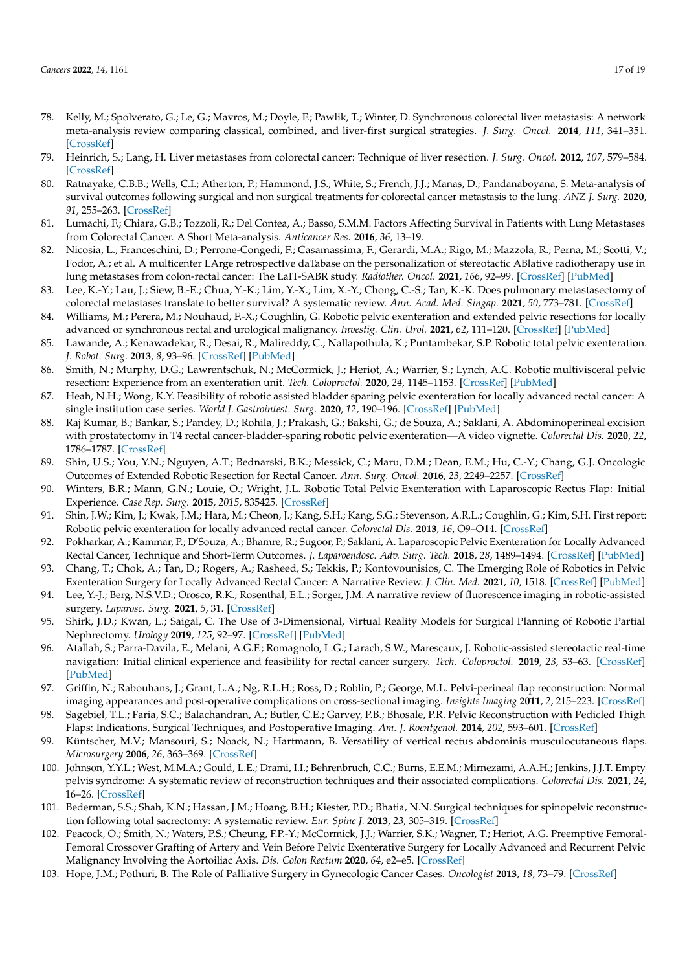- <span id="page-16-0"></span>78. Kelly, M.; Spolverato, G.; Le, G.; Mavros, M.; Doyle, F.; Pawlik, T.; Winter, D. Synchronous colorectal liver metastasis: A network meta-analysis review comparing classical, combined, and liver-first surgical strategies. *J. Surg. Oncol.* **2014**, *111*, 341–351. [\[CrossRef\]](http://doi.org/10.1002/jso.23819)
- <span id="page-16-1"></span>79. Heinrich, S.; Lang, H. Liver metastases from colorectal cancer: Technique of liver resection. *J. Surg. Oncol.* **2012**, *107*, 579–584. [\[CrossRef\]](http://doi.org/10.1002/jso.23138)
- <span id="page-16-2"></span>80. Ratnayake, C.B.B.; Wells, C.I.; Atherton, P.; Hammond, J.S.; White, S.; French, J.J.; Manas, D.; Pandanaboyana, S. Meta-analysis of survival outcomes following surgical and non surgical treatments for colorectal cancer metastasis to the lung. *ANZ J. Surg.* **2020**, *91*, 255–263. [\[CrossRef\]](http://doi.org/10.1111/ans.16383)
- <span id="page-16-3"></span>81. Lumachi, F.; Chiara, G.B.; Tozzoli, R.; Del Contea, A.; Basso, S.M.M. Factors Affecting Survival in Patients with Lung Metastases from Colorectal Cancer. A Short Meta-analysis. *Anticancer Res.* **2016**, *36*, 13–19.
- <span id="page-16-4"></span>82. Nicosia, L.; Franceschini, D.; Perrone-Congedi, F.; Casamassima, F.; Gerardi, M.A.; Rigo, M.; Mazzola, R.; Perna, M.; Scotti, V.; Fodor, A.; et al. A multicenter LArge retrospectIve daTabase on the personalization of stereotactic ABlative radiotherapy use in lung metastases from colon-rectal cancer: The LaIT-SABR study. *Radiother. Oncol.* **2021**, *166*, 92–99. [\[CrossRef\]](http://doi.org/10.1016/j.radonc.2021.10.023) [\[PubMed\]](http://www.ncbi.nlm.nih.gov/pubmed/34748855)
- <span id="page-16-5"></span>83. Lee, K.-Y.; Lau, J.; Siew, B.-E.; Chua, Y.-K.; Lim, Y.-X.; Lim, X.-Y.; Chong, C.-S.; Tan, K.-K. Does pulmonary metastasectomy of colorectal metastases translate to better survival? A systematic review. *Ann. Acad. Med. Singap.* **2021**, *50*, 773–781. [\[CrossRef\]](http://doi.org/10.47102/annals-acadmedsg.2021255)
- <span id="page-16-6"></span>84. Williams, M.; Perera, M.; Nouhaud, F.-X.; Coughlin, G. Robotic pelvic exenteration and extended pelvic resections for locally advanced or synchronous rectal and urological malignancy. *Investig. Clin. Urol.* **2021**, *62*, 111–120. [\[CrossRef\]](http://doi.org/10.4111/icu.20200176) [\[PubMed\]](http://www.ncbi.nlm.nih.gov/pubmed/33381928)
- <span id="page-16-7"></span>85. Lawande, A.; Kenawadekar, R.; Desai, R.; Malireddy, C.; Nallapothula, K.; Puntambekar, S.P. Robotic total pelvic exenteration. *J. Robot. Surg.* **2013**, *8*, 93–96. [\[CrossRef\]](http://doi.org/10.1007/s11701-013-0404-5) [\[PubMed\]](http://www.ncbi.nlm.nih.gov/pubmed/27637247)
- <span id="page-16-8"></span>86. Smith, N.; Murphy, D.G.; Lawrentschuk, N.; McCormick, J.; Heriot, A.; Warrier, S.; Lynch, A.C. Robotic multivisceral pelvic resection: Experience from an exenteration unit. *Tech. Coloproctol.* **2020**, *24*, 1145–1153. [\[CrossRef\]](http://doi.org/10.1007/s10151-020-02290-x) [\[PubMed\]](http://www.ncbi.nlm.nih.gov/pubmed/32662050)
- 87. Heah, N.H.; Wong, K.Y. Feasibility of robotic assisted bladder sparing pelvic exenteration for locally advanced rectal cancer: A single institution case series. *World J. Gastrointest. Surg.* **2020**, *12*, 190–196. [\[CrossRef\]](http://doi.org/10.4240/wjgs.v12.i4.190) [\[PubMed\]](http://www.ncbi.nlm.nih.gov/pubmed/32426098)
- 88. Raj Kumar, B.; Bankar, S.; Pandey, D.; Rohila, J.; Prakash, G.; Bakshi, G.; de Souza, A.; Saklani, A. Abdominoperineal excision with prostatectomy in T4 rectal cancer-bladder-sparing robotic pelvic exenteration—A video vignette. *Colorectal Dis.* **2020**, *22*, 1786–1787. [\[CrossRef\]](http://doi.org/10.1111/codi.15200)
- 89. Shin, U.S.; You, Y.N.; Nguyen, A.T.; Bednarski, B.K.; Messick, C.; Maru, D.M.; Dean, E.M.; Hu, C.-Y.; Chang, G.J. Oncologic Outcomes of Extended Robotic Resection for Rectal Cancer. *Ann. Surg. Oncol.* **2016**, *23*, 2249–2257. [\[CrossRef\]](http://doi.org/10.1245/s10434-016-5117-3)
- 90. Winters, B.R.; Mann, G.N.; Louie, O.; Wright, J.L. Robotic Total Pelvic Exenteration with Laparoscopic Rectus Flap: Initial Experience. *Case Rep. Surg.* **2015**, *2015*, 835425. [\[CrossRef\]](http://doi.org/10.1155/2015/835425)
- <span id="page-16-9"></span>91. Shin, J.W.; Kim, J.; Kwak, J.M.; Hara, M.; Cheon, J.; Kang, S.H.; Kang, S.G.; Stevenson, A.R.L.; Coughlin, G.; Kim, S.H. First report: Robotic pelvic exenteration for locally advanced rectal cancer. *Colorectal Dis.* **2013**, *16*, O9–O14. [\[CrossRef\]](http://doi.org/10.1111/codi.12446)
- <span id="page-16-10"></span>92. Pokharkar, A.; Kammar, P.; D'Souza, A.; Bhamre, R.; Sugoor, P.; Saklani, A. Laparoscopic Pelvic Exenteration for Locally Advanced Rectal Cancer, Technique and Short-Term Outcomes. *J. Laparoendosc. Adv. Surg. Tech.* **2018**, *28*, 1489–1494. [\[CrossRef\]](http://doi.org/10.1089/lap.2018.0147) [\[PubMed\]](http://www.ncbi.nlm.nih.gov/pubmed/29741977)
- <span id="page-16-11"></span>93. Chang, T.; Chok, A.; Tan, D.; Rogers, A.; Rasheed, S.; Tekkis, P.; Kontovounisios, C. The Emerging Role of Robotics in Pelvic Exenteration Surgery for Locally Advanced Rectal Cancer: A Narrative Review. *J. Clin. Med.* **2021**, *10*, 1518. [\[CrossRef\]](http://doi.org/10.3390/jcm10071518) [\[PubMed\]](http://www.ncbi.nlm.nih.gov/pubmed/33916490)
- <span id="page-16-12"></span>94. Lee, Y.-J.; Berg, N.S.V.D.; Orosco, R.K.; Rosenthal, E.L.; Sorger, J.M. A narrative review of fluorescence imaging in robotic-assisted surgery. *Laparosc. Surg.* **2021**, *5*, 31. [\[CrossRef\]](http://doi.org/10.21037/ls-20-98)
- <span id="page-16-13"></span>95. Shirk, J.D.; Kwan, L.; Saigal, C. The Use of 3-Dimensional, Virtual Reality Models for Surgical Planning of Robotic Partial Nephrectomy. *Urology* **2019**, *125*, 92–97. [\[CrossRef\]](http://doi.org/10.1016/j.urology.2018.12.026) [\[PubMed\]](http://www.ncbi.nlm.nih.gov/pubmed/30597166)
- <span id="page-16-14"></span>96. Atallah, S.; Parra-Davila, E.; Melani, A.G.F.; Romagnolo, L.G.; Larach, S.W.; Marescaux, J. Robotic-assisted stereotactic real-time navigation: Initial clinical experience and feasibility for rectal cancer surgery. *Tech. Coloproctol.* **2019**, *23*, 53–63. [\[CrossRef\]](http://doi.org/10.1007/s10151-018-1914-y) [\[PubMed\]](http://www.ncbi.nlm.nih.gov/pubmed/30656579)
- <span id="page-16-15"></span>97. Griffin, N.; Rabouhans, J.; Grant, L.A.; Ng, R.L.H.; Ross, D.; Roblin, P.; George, M.L. Pelvi-perineal flap reconstruction: Normal imaging appearances and post-operative complications on cross-sectional imaging. *Insights Imaging* **2011**, *2*, 215–223. [\[CrossRef\]](http://doi.org/10.1007/s13244-011-0070-y)
- <span id="page-16-16"></span>98. Sagebiel, T.L.; Faria, S.C.; Balachandran, A.; Butler, C.E.; Garvey, P.B.; Bhosale, P.R. Pelvic Reconstruction with Pedicled Thigh Flaps: Indications, Surgical Techniques, and Postoperative Imaging. *Am. J. Roentgenol.* **2014**, *202*, 593–601. [\[CrossRef\]](http://doi.org/10.2214/AJR.13.11394)
- <span id="page-16-17"></span>99. Küntscher, M.V.; Mansouri, S.; Noack, N.; Hartmann, B. Versatility of vertical rectus abdominis musculocutaneous flaps. *Microsurgery* **2006**, *26*, 363–369. [\[CrossRef\]](http://doi.org/10.1002/micr.20253)
- <span id="page-16-18"></span>100. Johnson, Y.Y.L.; West, M.M.A.; Gould, L.E.; Drami, I.I.; Behrenbruch, C.C.; Burns, E.E.M.; Mirnezami, A.A.H.; Jenkins, J.J.T. Empty pelvis syndrome: A systematic review of reconstruction techniques and their associated complications. *Colorectal Dis.* **2021**, *24*, 16–26. [\[CrossRef\]](http://doi.org/10.1111/codi.15956)
- <span id="page-16-19"></span>101. Bederman, S.S.; Shah, K.N.; Hassan, J.M.; Hoang, B.H.; Kiester, P.D.; Bhatia, N.N. Surgical techniques for spinopelvic reconstruction following total sacrectomy: A systematic review. *Eur. Spine J.* **2013**, *23*, 305–319. [\[CrossRef\]](http://doi.org/10.1007/s00586-013-3075-z)
- <span id="page-16-20"></span>102. Peacock, O.; Smith, N.; Waters, P.S.; Cheung, F.P.-Y.; McCormick, J.J.; Warrier, S.K.; Wagner, T.; Heriot, A.G. Preemptive Femoral-Femoral Crossover Grafting of Artery and Vein Before Pelvic Exenterative Surgery for Locally Advanced and Recurrent Pelvic Malignancy Involving the Aortoiliac Axis. *Dis. Colon Rectum* **2020**, *64*, e2–e5. [\[CrossRef\]](http://doi.org/10.1097/DCR.0000000000001819)
- <span id="page-16-21"></span>103. Hope, J.M.; Pothuri, B. The Role of Palliative Surgery in Gynecologic Cancer Cases. *Oncologist* **2013**, *18*, 73–79. [\[CrossRef\]](http://doi.org/10.1634/theoncologist.2012-0328)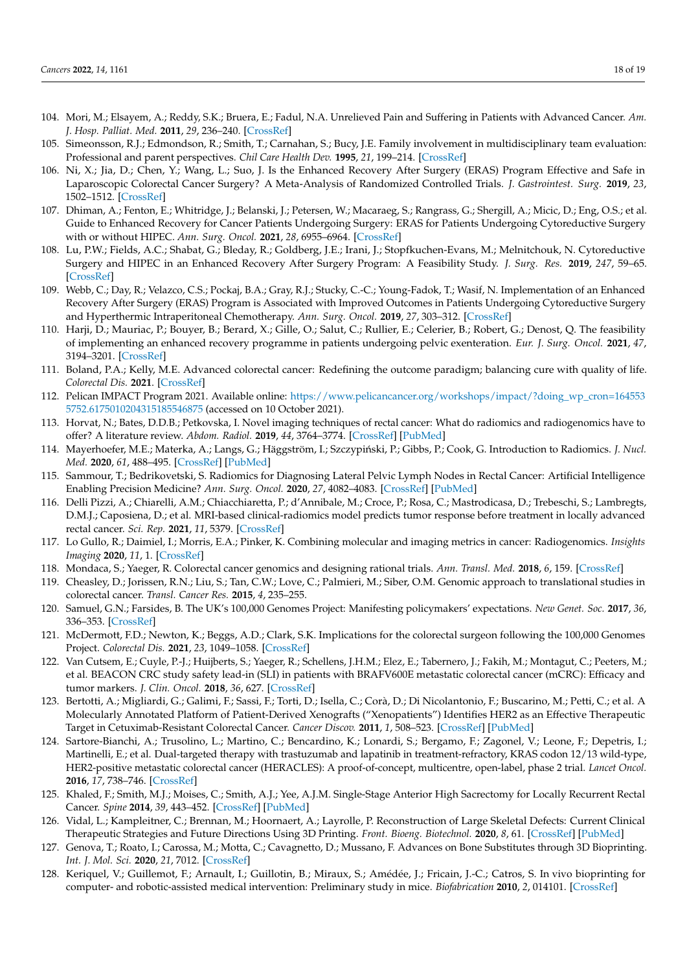- <span id="page-17-0"></span>104. Mori, M.; Elsayem, A.; Reddy, S.K.; Bruera, E.; Fadul, N.A. Unrelieved Pain and Suffering in Patients with Advanced Cancer. *Am. J. Hosp. Palliat. Med.* **2011**, *29*, 236–240. [\[CrossRef\]](http://doi.org/10.1177/1049909111415511)
- <span id="page-17-1"></span>105. Simeonsson, R.J.; Edmondson, R.; Smith, T.; Carnahan, S.; Bucy, J.E. Family involvement in multidisciplinary team evaluation: Professional and parent perspectives. *Chil Care Health Dev.* **1995**, *21*, 199–214. [\[CrossRef\]](http://doi.org/10.1111/j.1365-2214.1995.tb00750.x)
- <span id="page-17-2"></span>106. Ni, X.; Jia, D.; Chen, Y.; Wang, L.; Suo, J. Is the Enhanced Recovery After Surgery (ERAS) Program Effective and Safe in Laparoscopic Colorectal Cancer Surgery? A Meta-Analysis of Randomized Controlled Trials. *J. Gastrointest. Surg.* **2019**, *23*, 1502–1512. [\[CrossRef\]](http://doi.org/10.1007/s11605-019-04170-8)
- <span id="page-17-3"></span>107. Dhiman, A.; Fenton, E.; Whitridge, J.; Belanski, J.; Petersen, W.; Macaraeg, S.; Rangrass, G.; Shergill, A.; Micic, D.; Eng, O.S.; et al. Guide to Enhanced Recovery for Cancer Patients Undergoing Surgery: ERAS for Patients Undergoing Cytoreductive Surgery with or without HIPEC. *Ann. Surg. Oncol.* **2021**, *28*, 6955–6964. [\[CrossRef\]](http://doi.org/10.1245/s10434-021-09973-1)
- 108. Lu, P.W.; Fields, A.C.; Shabat, G.; Bleday, R.; Goldberg, J.E.; Irani, J.; Stopfkuchen-Evans, M.; Melnitchouk, N. Cytoreductive Surgery and HIPEC in an Enhanced Recovery After Surgery Program: A Feasibility Study. *J. Surg. Res.* **2019**, *247*, 59–65. [\[CrossRef\]](http://doi.org/10.1016/j.jss.2019.10.042)
- <span id="page-17-4"></span>109. Webb, C.; Day, R.; Velazco, C.S.; Pockaj, B.A.; Gray, R.J.; Stucky, C.-C.; Young-Fadok, T.; Wasif, N. Implementation of an Enhanced Recovery After Surgery (ERAS) Program is Associated with Improved Outcomes in Patients Undergoing Cytoreductive Surgery and Hyperthermic Intraperitoneal Chemotherapy. *Ann. Surg. Oncol.* **2019**, *27*, 303–312. [\[CrossRef\]](http://doi.org/10.1245/s10434-019-07900-z)
- <span id="page-17-5"></span>110. Harji, D.; Mauriac, P.; Bouyer, B.; Berard, X.; Gille, O.; Salut, C.; Rullier, E.; Celerier, B.; Robert, G.; Denost, Q. The feasibility of implementing an enhanced recovery programme in patients undergoing pelvic exenteration. *Eur. J. Surg. Oncol.* **2021**, *47*, 3194–3201. [\[CrossRef\]](http://doi.org/10.1016/j.ejso.2021.07.013)
- <span id="page-17-6"></span>111. Boland, P.A.; Kelly, M.E. Advanced colorectal cancer: Redefining the outcome paradigm; balancing cure with quality of life. *Colorectal Dis.* **2021**. [\[CrossRef\]](http://doi.org/10.1111/codi.15950)
- <span id="page-17-7"></span>112. Pelican IMPACT Program 2021. Available online: [https://www.pelicancancer.org/workshops/impact/?doing\\_wp\\_cron=164553](https://www.pelicancancer.org/workshops/impact/?doing_wp_cron=1645535752.6175010204315185546875) [5752.6175010204315185546875](https://www.pelicancancer.org/workshops/impact/?doing_wp_cron=1645535752.6175010204315185546875) (accessed on 10 October 2021).
- <span id="page-17-8"></span>113. Horvat, N.; Bates, D.D.B.; Petkovska, I. Novel imaging techniques of rectal cancer: What do radiomics and radiogenomics have to offer? A literature review. *Abdom. Radiol.* **2019**, *44*, 3764–3774. [\[CrossRef\]](http://doi.org/10.1007/s00261-019-02042-y) [\[PubMed\]](http://www.ncbi.nlm.nih.gov/pubmed/31055615)
- <span id="page-17-9"></span>114. Mayerhoefer, M.E.; Materka, A.; Langs, G.; Häggström, I.; Szczypiński, P.; Gibbs, P.; Cook, G. Introduction to Radiomics. *J. Nucl. Med.* **2020**, *61*, 488–495. [\[CrossRef\]](http://doi.org/10.2967/jnumed.118.222893) [\[PubMed\]](http://www.ncbi.nlm.nih.gov/pubmed/32060219)
- <span id="page-17-10"></span>115. Sammour, T.; Bedrikovetski, S. Radiomics for Diagnosing Lateral Pelvic Lymph Nodes in Rectal Cancer: Artificial Intelligence Enabling Precision Medicine? *Ann. Surg. Oncol.* **2020**, *27*, 4082–4083. [\[CrossRef\]](http://doi.org/10.1245/s10434-020-08978-6) [\[PubMed\]](http://www.ncbi.nlm.nih.gov/pubmed/32761428)
- <span id="page-17-11"></span>116. Delli Pizzi, A.; Chiarelli, A.M.; Chiacchiaretta, P.; d'Annibale, M.; Croce, P.; Rosa, C.; Mastrodicasa, D.; Trebeschi, S.; Lambregts, D.M.J.; Caposiena, D.; et al. MRI-based clinical-radiomics model predicts tumor response before treatment in locally advanced rectal cancer. *Sci. Rep.* **2021**, *11*, 5379. [\[CrossRef\]](http://doi.org/10.1038/s41598-021-84816-3)
- <span id="page-17-12"></span>117. Lo Gullo, R.; Daimiel, I.; Morris, E.A.; Pinker, K. Combining molecular and imaging metrics in cancer: Radiogenomics. *Insights Imaging* **2020**, *11*, 1. [\[CrossRef\]](http://doi.org/10.1186/s13244-019-0795-6)
- <span id="page-17-13"></span>118. Mondaca, S.; Yaeger, R. Colorectal cancer genomics and designing rational trials. *Ann. Transl. Med.* **2018**, *6*, 159. [\[CrossRef\]](http://doi.org/10.21037/atm.2018.03.27)
- <span id="page-17-14"></span>119. Cheasley, D.; Jorissen, R.N.; Liu, S.; Tan, C.W.; Love, C.; Palmieri, M.; Siber, O.M. Genomic approach to translational studies in colorectal cancer. *Transl. Cancer Res.* **2015**, *4*, 235–255.
- <span id="page-17-15"></span>120. Samuel, G.N.; Farsides, B. The UK's 100,000 Genomes Project: Manifesting policymakers' expectations. *New Genet. Soc.* **2017**, *36*, 336–353. [\[CrossRef\]](http://doi.org/10.1080/14636778.2017.1370671)
- <span id="page-17-16"></span>121. McDermott, F.D.; Newton, K.; Beggs, A.D.; Clark, S.K. Implications for the colorectal surgeon following the 100,000 Genomes Project. *Colorectal Dis.* **2021**, *23*, 1049–1058. [\[CrossRef\]](http://doi.org/10.1111/codi.15539)
- <span id="page-17-17"></span>122. Van Cutsem, E.; Cuyle, P.-J.; Huijberts, S.; Yaeger, R.; Schellens, J.H.M.; Elez, E.; Tabernero, J.; Fakih, M.; Montagut, C.; Peeters, M.; et al. BEACON CRC study safety lead-in (SLI) in patients with BRAFV600E metastatic colorectal cancer (mCRC): Efficacy and tumor markers. *J. Clin. Oncol.* **2018**, *36*, 627. [\[CrossRef\]](http://doi.org/10.1200/JCO.2018.36.4_suppl.627)
- <span id="page-17-18"></span>123. Bertotti, A.; Migliardi, G.; Galimi, F.; Sassi, F.; Torti, D.; Isella, C.; Corà, D.; Di Nicolantonio, F.; Buscarino, M.; Petti, C.; et al. A Molecularly Annotated Platform of Patient-Derived Xenografts ("Xenopatients") Identifies HER2 as an Effective Therapeutic Target in Cetuximab-Resistant Colorectal Cancer. *Cancer Discov.* **2011**, *1*, 508–523. [\[CrossRef\]](http://doi.org/10.1158/2159-8290.CD-11-0109) [\[PubMed\]](http://www.ncbi.nlm.nih.gov/pubmed/22586653)
- <span id="page-17-19"></span>124. Sartore-Bianchi, A.; Trusolino, L.; Martino, C.; Bencardino, K.; Lonardi, S.; Bergamo, F.; Zagonel, V.; Leone, F.; Depetris, I.; Martinelli, E.; et al. Dual-targeted therapy with trastuzumab and lapatinib in treatment-refractory, KRAS codon 12/13 wild-type, HER2-positive metastatic colorectal cancer (HERACLES): A proof-of-concept, multicentre, open-label, phase 2 trial. *Lancet Oncol.* **2016**, *17*, 738–746. [\[CrossRef\]](http://doi.org/10.1016/S1470-2045(16)00150-9)
- <span id="page-17-20"></span>125. Khaled, F.; Smith, M.J.; Moises, C.; Smith, A.J.; Yee, A.J.M. Single-Stage Anterior High Sacrectomy for Locally Recurrent Rectal Cancer. *Spine* **2014**, *39*, 443–452. [\[CrossRef\]](http://doi.org/10.1097/BRS.0000000000000154) [\[PubMed\]](http://www.ncbi.nlm.nih.gov/pubmed/24573075)
- <span id="page-17-21"></span>126. Vidal, L.; Kampleitner, C.; Brennan, M.; Hoornaert, A.; Layrolle, P. Reconstruction of Large Skeletal Defects: Current Clinical Therapeutic Strategies and Future Directions Using 3D Printing. *Front. Bioeng. Biotechnol.* **2020**, *8*, 61. [\[CrossRef\]](http://doi.org/10.3389/fbioe.2020.00061) [\[PubMed\]](http://www.ncbi.nlm.nih.gov/pubmed/32117940)
- <span id="page-17-22"></span>127. Genova, T.; Roato, I.; Carossa, M.; Motta, C.; Cavagnetto, D.; Mussano, F. Advances on Bone Substitutes through 3D Bioprinting. *Int. J. Mol. Sci.* **2020**, *21*, 7012. [\[CrossRef\]](http://doi.org/10.3390/ijms21197012)
- <span id="page-17-23"></span>128. Keriquel, V.; Guillemot, F.; Arnault, I.; Guillotin, B.; Miraux, S.; Amédée, J.; Fricain, J.-C.; Catros, S. In vivo bioprinting for computer- and robotic-assisted medical intervention: Preliminary study in mice. *Biofabrication* **2010**, *2*, 014101. [\[CrossRef\]](http://doi.org/10.1088/1758-5082/2/1/014101)